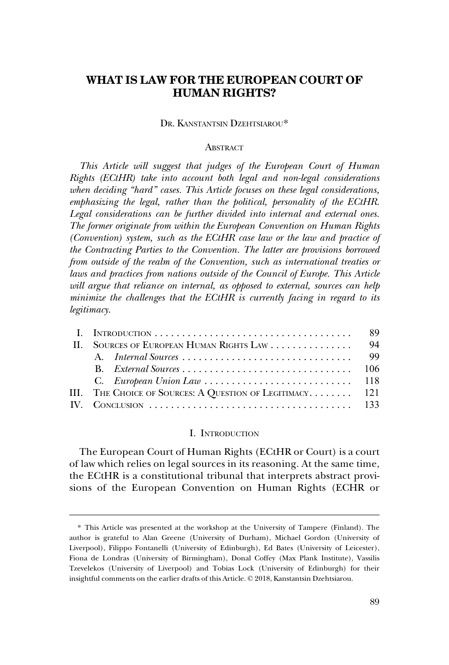# **WHAT IS LAW FOR THE EUROPEAN COURT OF HUMAN RIGHTS?**

# DR. KANSTANTSIN DZEHTSIAROU\*

# **ABSTRACT**

*This Article will suggest that judges of the European Court of Human Rights (ECtHR) take into account both legal and non-legal considerations when deciding "hard" cases. This Article focuses on these legal considerations, emphasizing the legal, rather than the political, personality of the ECtHR. Legal considerations can be further divided into internal and external ones. The former originate from within the European Convention on Human Rights (Convention) system, such as the ECtHR case law or the law and practice of the Contracting Parties to the Convention. The latter are provisions borrowed from outside of the realm of the Convention, such as international treaties or laws and practices from nations outside of the Council of Europe. This Article will argue that reliance on internal, as opposed to external, sources can help minimize the challenges that the ECtHR is currently facing in regard to its legitimacy.* 

| $\mathbf{H}$ | SOURCES OF EUROPEAN HUMAN RIGHTS LAW                     | 94 |
|--------------|----------------------------------------------------------|----|
|              |                                                          | 99 |
|              |                                                          |    |
|              |                                                          |    |
|              | III. THE CHOICE OF SOURCES: A QUESTION OF LEGITIMACY 121 |    |
|              |                                                          |    |

#### I. INTRODUCTION

The European Court of Human Rights (ECtHR or Court) is a court of law which relies on legal sources in its reasoning. At the same time, the ECtHR is a constitutional tribunal that interprets abstract provisions of the European Convention on Human Rights (ECHR or

<sup>\*</sup> This Article was presented at the workshop at the University of Tampere (Finland). The author is grateful to Alan Greene (University of Durham), Michael Gordon (University of Liverpool), Filippo Fontanelli (University of Edinburgh), Ed Bates (University of Leicester), Fiona de Londras (University of Birmingham), Donal Coffey (Max Plank Institute), Vassilis Tzevelekos (University of Liverpool) and Tobias Lock (University of Edinburgh) for their insightful comments on the earlier drafts of this Article. © 2018, Kanstantsin Dzehtsiarou.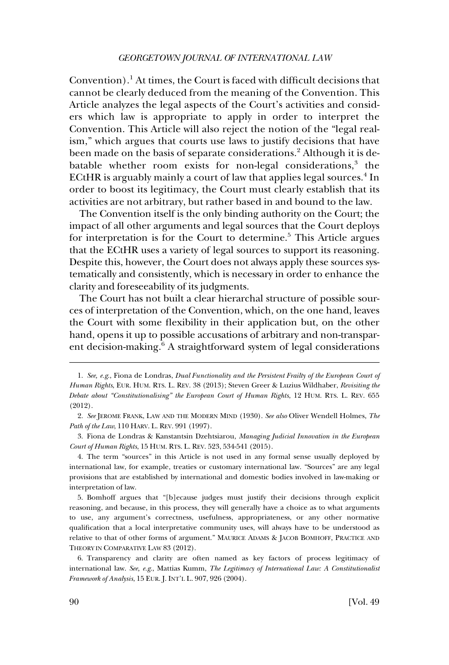Convention).<sup>1</sup> At times, the Court is faced with difficult decisions that cannot be clearly deduced from the meaning of the Convention. This Article analyzes the legal aspects of the Court's activities and considers which law is appropriate to apply in order to interpret the Convention. This Article will also reject the notion of the "legal realism," which argues that courts use laws to justify decisions that have been made on the basis of separate considerations.<sup>2</sup> Although it is debatable whether room exists for non-legal considerations, $3$  the ECtHR is arguably mainly a court of law that applies legal sources.<sup>4</sup> In order to boost its legitimacy, the Court must clearly establish that its activities are not arbitrary, but rather based in and bound to the law.

The Convention itself is the only binding authority on the Court; the impact of all other arguments and legal sources that the Court deploys for interpretation is for the Court to determine.<sup>5</sup> This Article argues that the ECtHR uses a variety of legal sources to support its reasoning. Despite this, however, the Court does not always apply these sources systematically and consistently, which is necessary in order to enhance the clarity and foreseeability of its judgments.

The Court has not built a clear hierarchal structure of possible sources of interpretation of the Convention, which, on the one hand, leaves the Court with some flexibility in their application but, on the other hand, opens it up to possible accusations of arbitrary and non-transparent decision-making.<sup>6</sup> A straightforward system of legal considerations

3. Fiona de Londras & Kanstantsin Dzehtsiarou, *Managing Judicial Innovation in the European Court of Human Rights*, 15 HUM. RTS. L. REV. 523, 534-541 (2015).

4. The term "sources" in this Article is not used in any formal sense usually deployed by international law, for example, treaties or customary international law. "Sources" are any legal provisions that are established by international and domestic bodies involved in law-making or interpretation of law.

5. Bomhoff argues that "[b]ecause judges must justify their decisions through explicit reasoning, and because, in this process, they will generally have a choice as to what arguments to use, any argument's correctness, usefulness, appropriateness, or any other normative qualification that a local interpretative community uses, will always have to be understood as relative to that of other forms of argument." MAURICE ADAMS & JACOB BOMHOFF, PRACTICE AND THEORY IN COMPARATIVE LAW 83 (2012).

6. Transparency and clarity are often named as key factors of process legitimacy of international law. *See, e.g*., Mattias Kumm, *The Legitimacy of International Law: A Constitutionalist Framework of Analysis*, 15 EUR. J. INT'L L. 907, 926 (2004).

<sup>1.</sup> *See, e.g*., Fiona de Londras, *Dual Functionality and the Persistent Frailty of the European Court of Human Rights*, EUR. HUM. RTS. L. REV. 38 (2013); Steven Greer & Luzius Wildhaber, *Revisiting the Debate about "Constitutionalising" the European Court of Human Rights*, 12 HUM. RTS. L. REV. 655 (2012).

<sup>2.</sup> *See* JEROME FRANK, LAW AND THE MODERN MIND (1930). *See also* Oliver Wendell Holmes, *The Path of the Law*, 110 HARV. L. REV. 991 (1997).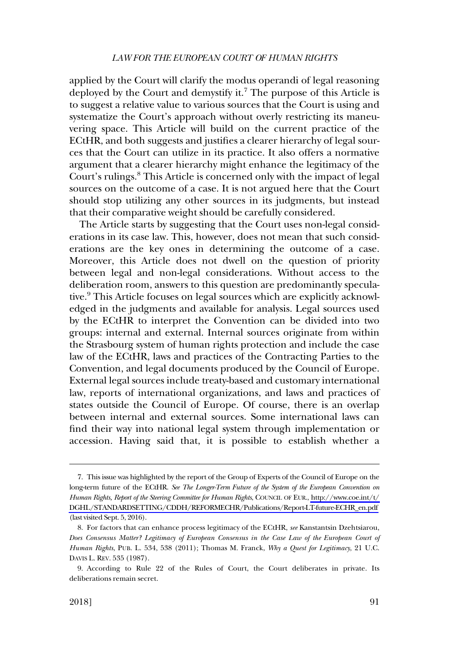# *LAW FOR THE EUROPEAN COURT OF HUMAN RIGHTS*

applied by the Court will clarify the modus operandi of legal reasoning deployed by the Court and demystify it.<sup>7</sup> The purpose of this Article is to suggest a relative value to various sources that the Court is using and systematize the Court's approach without overly restricting its maneuvering space. This Article will build on the current practice of the ECtHR, and both suggests and justifies a clearer hierarchy of legal sources that the Court can utilize in its practice. It also offers a normative argument that a clearer hierarchy might enhance the legitimacy of the Court's rulings.8 This Article is concerned only with the impact of legal sources on the outcome of a case. It is not argued here that the Court should stop utilizing any other sources in its judgments, but instead that their comparative weight should be carefully considered.

The Article starts by suggesting that the Court uses non-legal considerations in its case law. This, however, does not mean that such considerations are the key ones in determining the outcome of a case. Moreover, this Article does not dwell on the question of priority between legal and non-legal considerations. Without access to the deliberation room, answers to this question are predominantly speculative.<sup>9</sup> This Article focuses on legal sources which are explicitly acknowledged in the judgments and available for analysis. Legal sources used by the ECtHR to interpret the Convention can be divided into two groups: internal and external. Internal sources originate from within the Strasbourg system of human rights protection and include the case law of the ECtHR, laws and practices of the Contracting Parties to the Convention, and legal documents produced by the Council of Europe. External legal sources include treaty-based and customary international law, reports of international organizations, and laws and practices of states outside the Council of Europe. Of course, there is an overlap between internal and external sources. Some international laws can find their way into national legal system through implementation or accession. Having said that, it is possible to establish whether a

This issue was highlighted by the report of the Group of Experts of the Council of Europe on the 7. long-term future of the ECtHR. *See The Longer-Term Future of the System of the European Convention on Human Rights, Report of the Steering Committee for Human Rights*, COUNCIL OF EUR., [http://www.coe.int/t/](http://www.coe.int/t/DGHL/STANDARDSETTING/CDDH/REFORMECHR/Publications/Report-LT-future-ECHR_en.pdf)  [DGHL/STANDARDSETTING/CDDH/REFORMECHR/Publications/Report-LT-future-ECHR\\_en.pdf](http://www.coe.int/t/DGHL/STANDARDSETTING/CDDH/REFORMECHR/Publications/Report-LT-future-ECHR_en.pdf)  (last visited Sept. 5, 2016).

<sup>8.</sup> For factors that can enhance process legitimacy of the ECtHR, *see* Kanstantsin Dzehtsiarou, *Does Consensus Matter? Legitimacy of European Consensus in the Case Law of the European Court of Human Rights*, PUB. L. 534, 538 (2011); Thomas M. Franck, *Why a Quest for Legitimacy*, 21 U.C. DAVIS L. REV. 535 (1987).

<sup>9.</sup> According to Rule 22 of the Rules of Court, the Court deliberates in private. Its deliberations remain secret.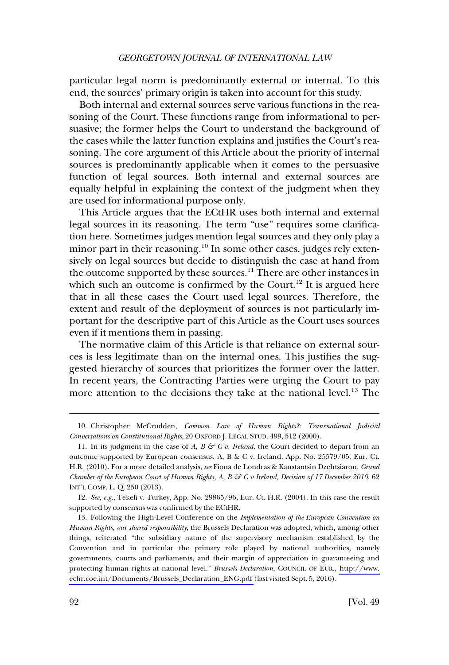particular legal norm is predominantly external or internal. To this end, the sources' primary origin is taken into account for this study.

Both internal and external sources serve various functions in the reasoning of the Court. These functions range from informational to persuasive; the former helps the Court to understand the background of the cases while the latter function explains and justifies the Court's reasoning. The core argument of this Article about the priority of internal sources is predominantly applicable when it comes to the persuasive function of legal sources. Both internal and external sources are equally helpful in explaining the context of the judgment when they are used for informational purpose only.

This Article argues that the ECtHR uses both internal and external legal sources in its reasoning. The term "use" requires some clarification here. Sometimes judges mention legal sources and they only play a minor part in their reasoning.<sup>10</sup> In some other cases, judges rely extensively on legal sources but decide to distinguish the case at hand from the outcome supported by these sources.11 There are other instances in which such an outcome is confirmed by the Court.<sup>12</sup> It is argued here that in all these cases the Court used legal sources. Therefore, the extent and result of the deployment of sources is not particularly important for the descriptive part of this Article as the Court uses sources even if it mentions them in passing.

The normative claim of this Article is that reliance on external sources is less legitimate than on the internal ones. This justifies the suggested hierarchy of sources that prioritizes the former over the latter. In recent years, the Contracting Parties were urging the Court to pay more attention to the decisions they take at the national level.<sup>13</sup> The

<sup>10.</sup> Christopher McCrudden, *Common Law of Human Rights?: Transnational Judicial Conversations on Constitutional Rights*, 20 OXFORD J. LEGAL STUD. 499, 512 (2000).

<sup>11.</sup> In its judgment in the case of *A, B*  $\mathcal{G}$  *C v. Ireland*, the Court decided to depart from an outcome supported by European consensus. A, B & C v. Ireland, App. No. 25579/05, Eur. Ct. H.R. (2010). For a more detailed analysis, *see* Fiona de Londras & Kanstantsin Dzehtsiarou, *Grand Chamber of the European Court of Human Rights, A, B & C v Ireland, Decision of 17 December 2010*, 62 INT'L COMP. L. Q. 250 (2013).

<sup>12.</sup> *See, e.g*., Tekeli v. Turkey, App. No. 29865/96, Eur. Ct. H.R. (2004). In this case the result supported by consensus was confirmed by the ECtHR.

Following the High-Level Conference on the *Implementation of the European Convention on*  13. *Human Rights, our shared responsibility*, the Brussels Declaration was adopted, which, among other things, reiterated "the subsidiary nature of the supervisory mechanism established by the Convention and in particular the primary role played by national authorities, namely governments, courts and parliaments, and their margin of appreciation in guaranteeing and protecting human rights at national level." *Brussels Declaration*, COUNCIL OF EUR., [http://www.](http://www.echr.coe.int/Documents/Brussels_Declaration_ENG.pdf)  [echr.coe.int/Documents/Brussels\\_Declaration\\_ENG.pdf](http://www.echr.coe.int/Documents/Brussels_Declaration_ENG.pdf) (last visited Sept. 5, 2016).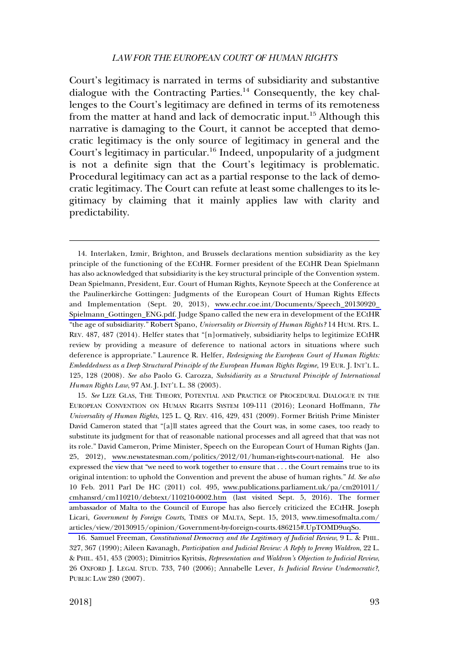# *LAW FOR THE EUROPEAN COURT OF HUMAN RIGHTS*

Court's legitimacy is narrated in terms of subsidiarity and substantive dialogue with the Contracting Parties.<sup>14</sup> Consequently, the key challenges to the Court's legitimacy are defined in terms of its remoteness from the matter at hand and lack of democratic input.<sup>15</sup> Although this narrative is damaging to the Court, it cannot be accepted that democratic legitimacy is the only source of legitimacy in general and the Court's legitimacy in particular.<sup>16</sup> Indeed, unpopularity of a judgment is not a definite sign that the Court's legitimacy is problematic. Procedural legitimacy can act as a partial response to the lack of democratic legitimacy. The Court can refute at least some challenges to its legitimacy by claiming that it mainly applies law with clarity and predictability.

14. Interlaken, Izmir, Brighton, and Brussels declarations mention subsidiarity as the key principle of the functioning of the ECtHR. Former president of the ECtHR Dean Spielmann has also acknowledged that subsidiarity is the key structural principle of the Convention system. Dean Spielmann, President, Eur. Court of Human Rights, Keynote Speech at the Conference at the Paulinerkirche Gottingen: Judgments of the European Court of Human Rights Effects and Implementation (Sept. 20, 2013), [www.echr.coe.int/Documents/Speech\\_20130920\\_](www.echr.coe.int/Documents/Speech_20130920_Spielmann_Gottingen_ENG.pdf)  [Spielmann\\_Gottingen\\_ENG.pdf.](www.echr.coe.int/Documents/Speech_20130920_Spielmann_Gottingen_ENG.pdf) Judge Spano called the new era in development of the ECtHR "the age of subsidiarity." Robert Spano, *Universality or Diversity of Human Rights?* 14 HUM. RTS. L. REV. 487, 487 (2014). Helfer states that "[n]ormatively, subsidiarity helps to legitimize ECtHR review by providing a measure of deference to national actors in situations where such deference is appropriate." Laurence R. Helfer, *Redesigning the European Court of Human Rights: Embeddedness as a Deep Structural Principle of the European Human Rights Regime*, 19 EUR. J. INT'L L. 125, 128 (2008). *See also* Paolo G. Carozza, *Subsidiarity as a Structural Principle of International Human Rights Law*, 97 AM. J. INT'L L. 38 (2003).

15. See LIZE GLAS, THE THEORY, POTENTIAL AND PRACTICE OF PROCEDURAL DIALOGUE IN THE EUROPEAN CONVENTION ON HUMAN RIGHTS SYSTEM 109-111 (2016); Leonard Hoffmann, *The Universality of Human Rights*, 125 L. Q. REV. 416, 429, 431 (2009). Former British Prime Minister David Cameron stated that "[a]ll states agreed that the Court was, in some cases, too ready to substitute its judgment for that of reasonable national processes and all agreed that that was not its role." David Cameron, Prime Minister, Speech on the European Court of Human Rights (Jan. 25, 2012), [www.newstatesman.com/politics/2012/01/human-rights-court-national.](www.newstatesman.com/politics/2012/01/human-rights-court-national) He also expressed the view that "we need to work together to ensure that . . . the Court remains true to its original intention: to uphold the Convention and prevent the abuse of human rights." *Id. See also*  10 Feb. 2011 Parl De HC (2011) col. 495, [www.publications.parliament.uk/pa/cm201011/](www.publications.parliament.uk/pa/cm201011/cmhansrd/cm110210/debtext/110210-0002.htm)  [cmhansrd/cm110210/debtext/110210-0002.htm](www.publications.parliament.uk/pa/cm201011/cmhansrd/cm110210/debtext/110210-0002.htm) (last visited Sept. 5, 2016). The former ambassador of Malta to the Council of Europe has also fiercely criticized the ECtHR. Joseph Licari, *Government by Foreign Courts*, TIMES OF MALTA, Sept. 15, 2013, [www.timesofmalta.com/](www.timesofmalta.com/articles/view/20130915/opinion/Government-by-foreign-courts.486215#.UpTOMD9uqSo) [articles/view/20130915/opinion/Government-by-foreign-courts.486215#.UpTOMD9uqSo](www.timesofmalta.com/articles/view/20130915/opinion/Government-by-foreign-courts.486215#.UpTOMD9uqSo).

16. Samuel Freeman, *Constitutional Democracy and the Legitimacy of Judicial Review*, 9 L. & PHIL. 327, 367 (1990); Aileen Kavanagh, *Participation and Judicial Review: A Reply to Jeremy Waldron*, 22 L. & PHIL. 451, 453 (2003); Dimitrios Kyritsis, *Representation and Waldron's Objection to Judicial Review*, 26 OXFORD J. LEGAL STUD. 733, 740 (2006); Annabelle Lever, *Is Judicial Review Undemocratic?*, PUBLIC LAW 280 (2007).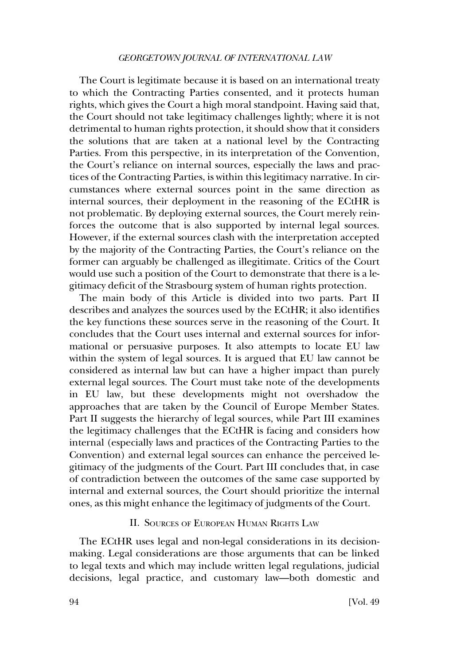<span id="page-5-0"></span>The Court is legitimate because it is based on an international treaty to which the Contracting Parties consented, and it protects human rights, which gives the Court a high moral standpoint. Having said that, the Court should not take legitimacy challenges lightly; where it is not detrimental to human rights protection, it should show that it considers the solutions that are taken at a national level by the Contracting Parties. From this perspective, in its interpretation of the Convention, the Court's reliance on internal sources, especially the laws and practices of the Contracting Parties, is within this legitimacy narrative. In circumstances where external sources point in the same direction as internal sources, their deployment in the reasoning of the ECtHR is not problematic. By deploying external sources, the Court merely reinforces the outcome that is also supported by internal legal sources. However, if the external sources clash with the interpretation accepted by the majority of the Contracting Parties, the Court's reliance on the former can arguably be challenged as illegitimate. Critics of the Court would use such a position of the Court to demonstrate that there is a legitimacy deficit of the Strasbourg system of human rights protection.

The main body of this Article is divided into two parts. Part II describes and analyzes the sources used by the ECtHR; it also identifies the key functions these sources serve in the reasoning of the Court. It concludes that the Court uses internal and external sources for informational or persuasive purposes. It also attempts to locate EU law within the system of legal sources. It is argued that EU law cannot be considered as internal law but can have a higher impact than purely external legal sources. The Court must take note of the developments in EU law, but these developments might not overshadow the approaches that are taken by the Council of Europe Member States. Part II suggests the hierarchy of legal sources, while Part III examines the legitimacy challenges that the ECtHR is facing and considers how internal (especially laws and practices of the Contracting Parties to the Convention) and external legal sources can enhance the perceived legitimacy of the judgments of the Court. Part III concludes that, in case of contradiction between the outcomes of the same case supported by internal and external sources, the Court should prioritize the internal ones, as this might enhance the legitimacy of judgments of the Court.

# II. SOURCES OF EUROPEAN HUMAN RIGHTS LAW

The ECtHR uses legal and non-legal considerations in its decisionmaking. Legal considerations are those arguments that can be linked to legal texts and which may include written legal regulations, judicial decisions, legal practice, and customary law—both domestic and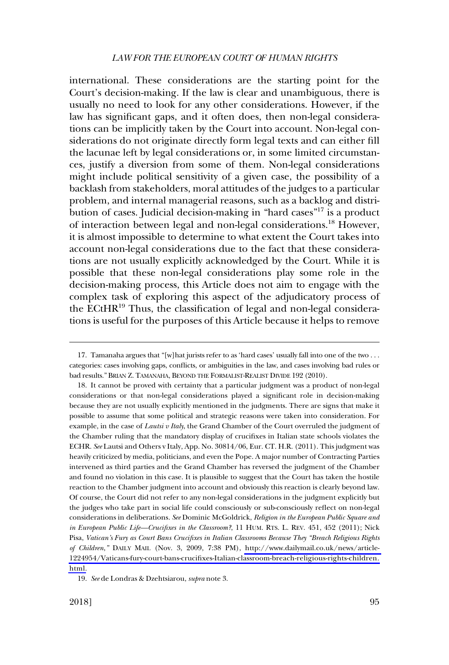#### *LAW FOR THE EUROPEAN COURT OF HUMAN RIGHTS*

international. These considerations are the starting point for the Court's decision-making. If the law is clear and unambiguous, there is usually no need to look for any other considerations. However, if the law has significant gaps, and it often does, then non-legal considerations can be implicitly taken by the Court into account. Non-legal considerations do not originate directly form legal texts and can either fill the lacunae left by legal considerations or, in some limited circumstances, justify a diversion from some of them. Non-legal considerations might include political sensitivity of a given case, the possibility of a backlash from stakeholders, moral attitudes of the judges to a particular problem, and internal managerial reasons, such as a backlog and distribution of cases. Judicial decision-making in "hard cases"17 is a product of interaction between legal and non-legal considerations.<sup>18</sup> However, it is almost impossible to determine to what extent the Court takes into account non-legal considerations due to the fact that these considerations are not usually explicitly acknowledged by the Court. While it is possible that these non-legal considerations play some role in the decision-making process, this Article does not aim to engage with the complex task of exploring this aspect of the adjudicatory process of the ECtHR<sup>19</sup> Thus, the classification of legal and non-legal considerations is useful for the purposes of this Article because it helps to remove

<sup>17.</sup> Tamanaha argues that "[w]hat jurists refer to as 'hard cases' usually fall into one of the two . . . categories: cases involving gaps, conflicts, or ambiguities in the law, and cases involving bad rules or bad results." BRIAN Z. TAMANAHA, BEYOND THE FORMALIST-REALIST DIVIDE 192 (2010).

<sup>18.</sup> It cannot be proved with certainty that a particular judgment was a product of non-legal considerations or that non-legal considerations played a significant role in decision-making because they are not usually explicitly mentioned in the judgments. There are signs that make it possible to assume that some political and strategic reasons were taken into consideration. For example, in the case of *Lautsi v Italy*, the Grand Chamber of the Court overruled the judgment of the Chamber ruling that the mandatory display of crucifixes in Italian state schools violates the ECHR. *See* Lautsi and Others v Italy, App. No. 30814/06, Eur. CT. H.R. (2011). This judgment was heavily criticized by media, politicians, and even the Pope. A major number of Contracting Parties intervened as third parties and the Grand Chamber has reversed the judgment of the Chamber and found no violation in this case. It is plausible to suggest that the Court has taken the hostile reaction to the Chamber judgment into account and obviously this reaction is clearly beyond law. Of course, the Court did not refer to any non-legal considerations in the judgment explicitly but the judges who take part in social life could consciously or sub-consciously reflect on non-legal considerations in deliberations. *See* Dominic McGoldrick, *Religion in the European Public Square and in European Public Life—Crucifixes in the Classroom?*, 11 HUM. RTS. L. REV. 451, 452 (2011); Nick Pisa, *Vatican's Fury as Court Bans Crucifixes in Italian Classrooms Because They "Breach Religious Rights of Children*,*"* DAILY MAIL (Nov. 3, 2009, 7:38 PM), [http://www.dailymail.co.uk/news/article-](http://www.dailymail.co.uk/news/article-1224954/Vaticans-fury-court-bans-crucifixes-Italian-classroom-breach-religious-rights-children.html)[1224954/Vaticans-fury-court-bans-crucifixes-Italian-classroom-breach-religious-rights-children.](http://www.dailymail.co.uk/news/article-1224954/Vaticans-fury-court-bans-crucifixes-Italian-classroom-breach-religious-rights-children.html)  [html.](http://www.dailymail.co.uk/news/article-1224954/Vaticans-fury-court-bans-crucifixes-Italian-classroom-breach-religious-rights-children.html)

<sup>19.</sup> *See* de Londras & Dzehtsiarou, *supra* note 3.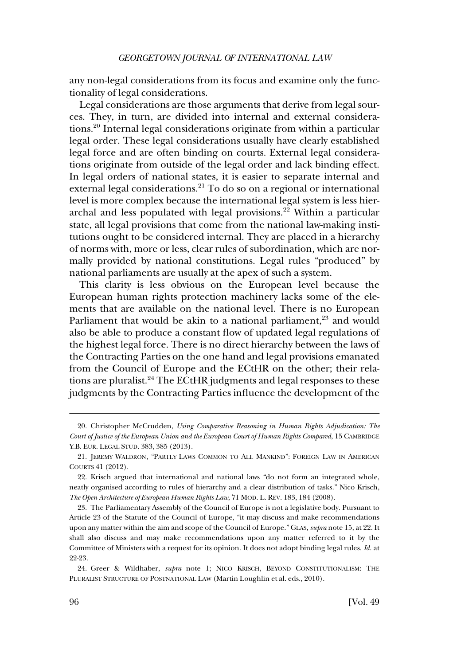any non-legal considerations from its focus and examine only the functionality of legal considerations.

Legal considerations are those arguments that derive from legal sources. They, in turn, are divided into internal and external considerations.20 Internal legal considerations originate from within a particular legal order. These legal considerations usually have clearly established legal force and are often binding on courts. External legal considerations originate from outside of the legal order and lack binding effect. In legal orders of national states, it is easier to separate internal and external legal considerations.<sup>21</sup> To do so on a regional or international level is more complex because the international legal system is less hierarchal and less populated with legal provisions.<sup>22</sup> Within a particular state, all legal provisions that come from the national law-making institutions ought to be considered internal. They are placed in a hierarchy of norms with, more or less, clear rules of subordination, which are normally provided by national constitutions. Legal rules "produced" by national parliaments are usually at the apex of such a system.

This clarity is less obvious on the European level because the European human rights protection machinery lacks some of the elements that are available on the national level. There is no European Parliament that would be akin to a national parliament,<sup>23</sup> and would also be able to produce a constant flow of updated legal regulations of the highest legal force. There is no direct hierarchy between the laws of the Contracting Parties on the one hand and legal provisions emanated from the Council of Europe and the ECtHR on the other; their relations are pluralist.<sup>24</sup> The ECtHR judgments and legal responses to these judgments by the Contracting Parties influence the development of the

<sup>20.</sup> Christopher McCrudden, *Using Comparative Reasoning in Human Rights Adjudication: The Court of Justice of the European Union and the European Court of Human Rights Compared*, 15 CAMBRIDGE Y.B. EUR. LEGAL STUD. 383, 385 (2013).

<sup>21.</sup> JEREMY WALDRON, "PARTLY LAWS COMMON TO ALL MANKIND": FOREIGN LAW IN AMERICAN COURTS 41 (2012).

<sup>22.</sup> Krisch argued that international and national laws "do not form an integrated whole, neatly organised according to rules of hierarchy and a clear distribution of tasks." Nico Krisch, *The Open Architecture of European Human Rights Law*, 71 MOD. L. REV. 183, 184 (2008).

<sup>23.</sup> The Parliamentary Assembly of the Council of Europe is not a legislative body. Pursuant to Article 23 of the Statute of the Council of Europe, "it may discuss and make recommendations upon any matter within the aim and scope of the Council of Europe." GLAS, *supra* note 15, at 22. It shall also discuss and may make recommendations upon any matter referred to it by the Committee of Ministers with a request for its opinion. It does not adopt binding legal rules. *Id*. at 22-23.

<sup>24.</sup> Greer & Wildhaber, *supra* note 1; NICO KRISCH, BEYOND CONSTITUTIONALISM: THE PLURALIST STRUCTURE OF POSTNATIONAL LAW (Martin Loughlin et al. eds., 2010).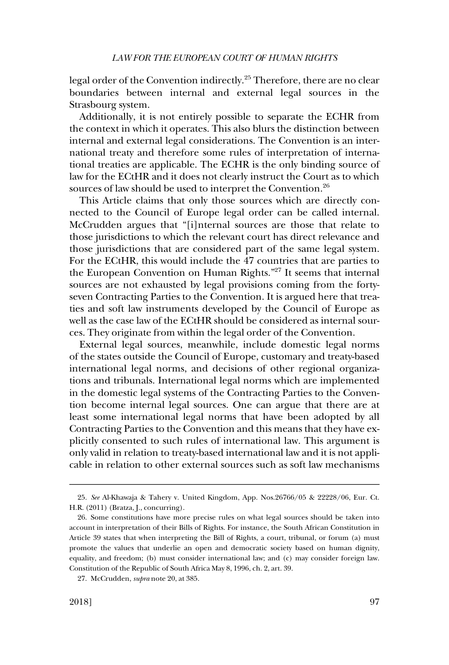legal order of the Convention indirectly.<sup>25</sup> Therefore, there are no clear boundaries between internal and external legal sources in the Strasbourg system.

Additionally, it is not entirely possible to separate the ECHR from the context in which it operates. This also blurs the distinction between internal and external legal considerations. The Convention is an international treaty and therefore some rules of interpretation of international treaties are applicable. The ECHR is the only binding source of law for the ECtHR and it does not clearly instruct the Court as to which sources of law should be used to interpret the Convention.<sup>26</sup>

This Article claims that only those sources which are directly connected to the Council of Europe legal order can be called internal. McCrudden argues that "[i]nternal sources are those that relate to those jurisdictions to which the relevant court has direct relevance and those jurisdictions that are considered part of the same legal system. For the ECtHR, this would include the 47 countries that are parties to the European Convention on Human Rights.<sup>"27</sup> It seems that internal sources are not exhausted by legal provisions coming from the fortyseven Contracting Parties to the Convention. It is argued here that treaties and soft law instruments developed by the Council of Europe as well as the case law of the ECtHR should be considered as internal sources. They originate from within the legal order of the Convention.

External legal sources, meanwhile, include domestic legal norms of the states outside the Council of Europe, customary and treaty-based international legal norms, and decisions of other regional organizations and tribunals. International legal norms which are implemented in the domestic legal systems of the Contracting Parties to the Convention become internal legal sources. One can argue that there are at least some international legal norms that have been adopted by all Contracting Parties to the Convention and this means that they have explicitly consented to such rules of international law. This argument is only valid in relation to treaty-based international law and it is not applicable in relation to other external sources such as soft law mechanisms

<sup>25.</sup> *See* Al-Khawaja & Tahery v. United Kingdom, App. Nos.26766/05 & 22228/06, Eur. Ct. H.R. (2011) (Bratza, J., concurring).

<sup>26.</sup> Some constitutions have more precise rules on what legal sources should be taken into account in interpretation of their Bills of Rights. For instance, the South African Constitution in Article 39 states that when interpreting the Bill of Rights, a court, tribunal, or forum (a) must promote the values that underlie an open and democratic society based on human dignity, equality, and freedom; (b) must consider international law; and (c) may consider foreign law. Constitution of the Republic of South Africa May 8, 1996, ch. 2, art. 39.

<sup>27.</sup> McCrudden, *supra* note 20, at 385.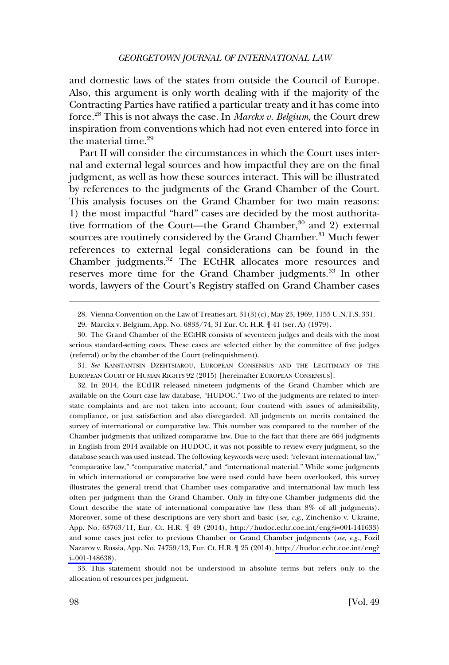and domestic laws of the states from outside the Council of Europe. Also, this argument is only worth dealing with if the majority of the Contracting Parties have ratified a particular treaty and it has come into force.28 This is not always the case. In *Marckx v. Belgium*, the Court drew inspiration from conventions which had not even entered into force in the material time.<sup>29</sup>

Part II will consider the circumstances in which the Court uses internal and external legal sources and how impactful they are on the final judgment, as well as how these sources interact. This will be illustrated by references to the judgments of the Grand Chamber of the Court. This analysis focuses on the Grand Chamber for two main reasons: 1) the most impactful "hard" cases are decided by the most authoritative formation of the Court—the Grand Chamber,<sup>30</sup> and 2) external sources are routinely considered by the Grand Chamber.<sup>31</sup> Much fewer references to external legal considerations can be found in the Chamber judgments.<sup>32</sup> The ECtHR allocates more resources and reserves more time for the Grand Chamber judgments.<sup>33</sup> In other words, lawyers of the Court's Registry staffed on Grand Chamber cases

32. In 2014, the ECtHR released nineteen judgments of the Grand Chamber which are available on the Court case law database, "HUDOC." Two of the judgments are related to interstate complaints and are not taken into account; four contend with issues of admissibility, compliance, or just satisfaction and also disregarded. All judgments on merits contained the survey of international or comparative law. This number was compared to the number of the Chamber judgments that utilized comparative law. Due to the fact that there are 664 judgments in English from 2014 available on HUDOC, it was not possible to review every judgment, so the database search was used instead. The following keywords were used: "relevant international law," "comparative law," "comparative material," and "international material." While some judgments in which international or comparative law were used could have been overlooked, this survey illustrates the general trend that Chamber uses comparative and international law much less often per judgment than the Grand Chamber. Only in fifty-one Chamber judgments did the Court describe the state of international comparative law (less than 8% of all judgments). Moreover, some of these descriptions are very short and basic (*see, e.g*., Zinchenko v. Ukraine, App. No. 63763/11, Eur. Ct. H.R. ¶ 49 (2014), [http://hudoc.echr.coe.int/eng?i=001-141633\)](http://hudoc.echr.coe.int/eng?i=001-141633) and some cases just refer to previous Chamber or Grand Chamber judgments (*see, e.g*., Fozil Nazarov v. Russia, App. No. 74759/13, Eur. Ct. H.R. ¶ 25 (2014), [http://hudoc.echr.coe.int/eng?](http://hudoc.echr.coe.int/eng?i=001-148638) [i=001-148638\)](http://hudoc.echr.coe.int/eng?i=001-148638).

33. This statement should not be understood in absolute terms but refers only to the allocation of resources per judgment.

<sup>28.</sup> Vienna Convention on the Law of Treaties art. 31(3)(c), May 23, 1969, 1155 U.N.T.S. 331.

<sup>29.</sup> Marckx v. Belgium, App. No. 6833/74, 31 Eur. Ct. H.R. ¶ 41 (ser. A) (1979).

<sup>30.</sup> The Grand Chamber of the ECtHR consists of seventeen judges and deals with the most serious standard-setting cases. These cases are selected either by the committee of five judges (referral) or by the chamber of the Court (relinquishment).

<sup>31.</sup> *See* KANSTANTSIN DZEHTSIAROU, EUROPEAN CONSENSUS AND THE LEGITIMACY OF THE EUROPEAN COURT OF HUMAN RIGHTS 92 (2015) [hereinafter EUROPEAN CONSENSUS].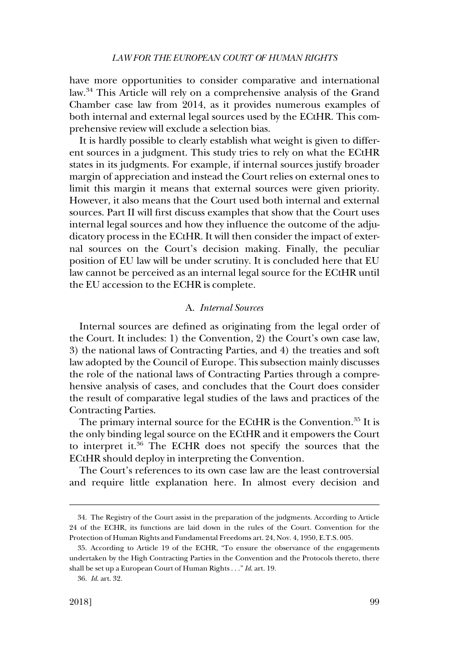<span id="page-10-0"></span>have more opportunities to consider comparative and international law.34 This Article will rely on a comprehensive analysis of the Grand Chamber case law from 2014, as it provides numerous examples of both internal and external legal sources used by the ECtHR. This comprehensive review will exclude a selection bias.

It is hardly possible to clearly establish what weight is given to different sources in a judgment. This study tries to rely on what the ECtHR states in its judgments. For example, if internal sources justify broader margin of appreciation and instead the Court relies on external ones to limit this margin it means that external sources were given priority. However, it also means that the Court used both internal and external sources. Part II will first discuss examples that show that the Court uses internal legal sources and how they influence the outcome of the adjudicatory process in the ECtHR. It will then consider the impact of external sources on the Court's decision making. Finally, the peculiar position of EU law will be under scrutiny. It is concluded here that EU law cannot be perceived as an internal legal source for the ECtHR until the EU accession to the ECHR is complete.

# A. *Internal Sources*

Internal sources are defined as originating from the legal order of the Court. It includes: 1) the Convention, 2) the Court's own case law, 3) the national laws of Contracting Parties, and 4) the treaties and soft law adopted by the Council of Europe. This subsection mainly discusses the role of the national laws of Contracting Parties through a comprehensive analysis of cases, and concludes that the Court does consider the result of comparative legal studies of the laws and practices of the Contracting Parties.

The primary internal source for the ECtHR is the Convention.<sup>35</sup> It is the only binding legal source on the ECtHR and it empowers the Court to interpret it.36 The ECHR does not specify the sources that the ECtHR should deploy in interpreting the Convention.

The Court's references to its own case law are the least controversial and require little explanation here. In almost every decision and

<sup>34.</sup> The Registry of the Court assist in the preparation of the judgments. According to Article 24 of the ECHR, its functions are laid down in the rules of the Court. Convention for the Protection of Human Rights and Fundamental Freedoms art. 24, Nov. 4, 1950, E.T.S. 005.

<sup>35.</sup> According to Article 19 of the ECHR, "To ensure the observance of the engagements undertaken by the High Contracting Parties in the Convention and the Protocols thereto, there shall be set up a European Court of Human Rights . . ." *Id*. art. 19.

<sup>36.</sup> *Id*. art. 32.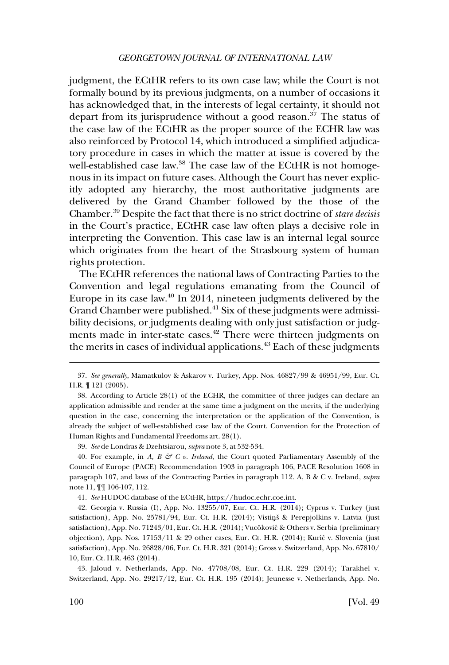judgment, the ECtHR refers to its own case law; while the Court is not formally bound by its previous judgments, on a number of occasions it has acknowledged that, in the interests of legal certainty, it should not depart from its jurisprudence without a good reason.<sup>37</sup> The status of the case law of the ECtHR as the proper source of the ECHR law was also reinforced by Protocol 14, which introduced a simplified adjudicatory procedure in cases in which the matter at issue is covered by the well-established case law.<sup>38</sup> The case law of the ECtHR is not homogenous in its impact on future cases. Although the Court has never explicitly adopted any hierarchy, the most authoritative judgments are delivered by the Grand Chamber followed by the those of the Chamber.39 Despite the fact that there is no strict doctrine of *stare decisis*  in the Court's practice, ECtHR case law often plays a decisive role in interpreting the Convention. This case law is an internal legal source which originates from the heart of the Strasbourg system of human rights protection.

The ECtHR references the national laws of Contracting Parties to the Convention and legal regulations emanating from the Council of Europe in its case law. $40 \text{ In } 2014$ , nineteen judgments delivered by the Grand Chamber were published.<sup>41</sup> Six of these judgments were admissibility decisions, or judgments dealing with only just satisfaction or judgments made in inter-state cases.<sup>42</sup> There were thirteen judgments on the merits in cases of individual applications.<sup>43</sup> Each of these judgments

*See* HUDOC database of the ECtHR, [https://hudoc.echr.coe.int.](https://hudoc.echr.coe.int) 41.

42. Georgia v. Russia (I), App. No. 13255/07, Eur. Ct. H.R. (2014); Cyprus v. Turkey (just satisfaction), App. No. 25781/94, Eur. Ct. H.R. (2014); Vistini & Perepjolkins v. Latvia (just satisfaction), App. No. 71243/01, Eur. Ct. H.R. (2014); Vucõković & Others v. Serbia (preliminary objection), App. Nos. 17153/11 & 29 other cases, Eur. Ct. H.R. (2014); Kuric´ v. Slovenia (just satisfaction), App. No. 26828/06, Eur. Ct. H.R. 321 (2014); Gross v. Switzerland, App. No. 67810/ 10, Eur. Ct. H.R. 463 (2014).

43. Jaloud v. Netherlands, App. No. 47708/08, Eur. Ct. H.R. 229 (2014); Tarakhel v. Switzerland, App. No. 29217/12, Eur. Ct. H.R. 195 (2014); Jeunesse v. Netherlands, App. No.

<sup>37.</sup> *See generally*, Mamatkulov & Askarov v. Turkey, App. Nos. 46827/99 & 46951/99, Eur. Ct. H.R. ¶ 121 (2005).

<sup>38.</sup> According to Article 28(1) of the ECHR, the committee of three judges can declare an application admissible and render at the same time a judgment on the merits, if the underlying question in the case, concerning the interpretation or the application of the Convention, is already the subject of well-established case law of the Court. Convention for the Protection of Human Rights and Fundamental Freedoms art. 28(1).

<sup>39.</sup> *See* de Londras & Dzehtsiarou, *supra* note 3, at 532-534.

<sup>40.</sup> For example, in *A, B & C v. Ireland*, the Court quoted Parliamentary Assembly of the Council of Europe (PACE) Recommendation 1903 in paragraph 106, PACE Resolution 1608 in paragraph 107, and laws of the Contracting Parties in paragraph 112. A, B & C v. Ireland, *supra*  note 11, ¶¶ 106-107, 112.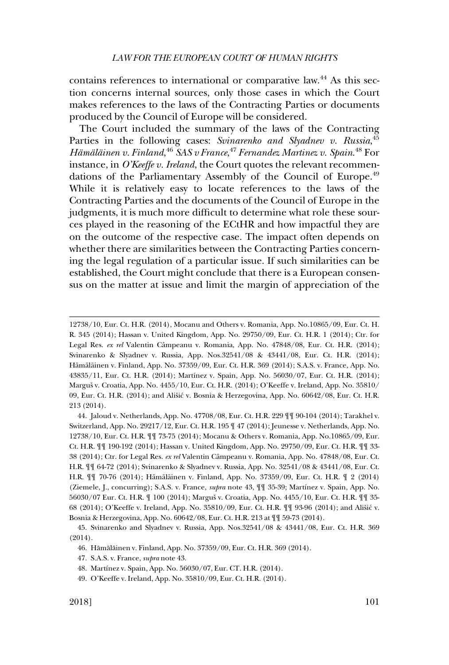contains references to international or comparative law.<sup>44</sup> As this section concerns internal sources, only those cases in which the Court makes references to the laws of the Contracting Parties or documents produced by the Council of Europe will be considered.

The Court included the summary of the laws of the Contracting Parties in the following cases: Svinarenko and Slyadnev v. Russia,<sup>45</sup> *Hämäläinen v. Finland*, <sup>46</sup> SAS v France, <sup>47</sup> Fernandez Martinez v. Spain. <sup>48</sup> For instance, in *O'Keeffe v. Ireland*, the Court quotes the relevant recommendations of the Parliamentary Assembly of the Council of Europe.<sup>49</sup> While it is relatively easy to locate references to the laws of the Contracting Parties and the documents of the Council of Europe in the judgments, it is much more difficult to determine what role these sources played in the reasoning of the ECtHR and how impactful they are on the outcome of the respective case. The impact often depends on whether there are similarities between the Contracting Parties concerning the legal regulation of a particular issue. If such similarities can be established, the Court might conclude that there is a European consensus on the matter at issue and limit the margin of appreciation of the

44. Jaloud v. Netherlands, App. No. 47708/08, Eur. Ct. H.R. 229 ¶¶ 90-104 (2014); Tarakhel v. Switzerland, App. No. 29217/12, Eur. Ct. H.R. 195 ¶ 47 (2014); Jeunesse v. Netherlands, App. No. 12738/10, Eur. Ct. H.R. ¶¶ 73-75 (2014); Mocanu & Others v. Romania, App. No.10865/09, Eur. Ct. H.R. ¶¶ 190-192 (2014); Hassan v. United Kingdom, App. No. 29750/09, Eur. Ct. H.R. ¶¶ 33- 38 (2014); Ctr. for Legal Res. *ex rel* Valentin Caˆmpeanu v. Romania, App. No. 47848/08, Eur. Ct. H.R. ¶¶ 64-72 (2014); Svinarenko & Slyadnev v. Russia, App. No. 32541/08 & 43441/08, Eur. Ct. H.R.  $\P\P$  70-76 (2014); Hämäläinen v. Finland, App. No. 37359/09, Eur. Ct. H.R.  $\P$  2 (2014) (Ziemele, J., concurring); S.A.S. v. France, *supra* note 43, ¶¶ 35-39; Martı´nez v. Spain, App. No. 56030/07 Eur. Ct. H.R.  $\mathbb I$  100 (2014); Marguš v. Croatia, App. No. 4455/10, Eur. Ct. H.R.  $\mathbb I$  1 35-68 (2014); O'Keeffe v. Ireland, App. No.  $35810/09$ , Eur. Ct. H.R.  $\P\P$  93-96 (2014); and Ališić v. Bosnia & Herzegovina, App. No. 60642/08, Eur. Ct. H.R. 213 at ¶¶ 59-73 (2014).

<sup>12738/10,</sup> Eur. Ct. H.R. (2014), Mocanu and Others v. Romania, App. No.10865/09, Eur. Ct. H. R. 345 (2014); Hassan v. United Kingdom, App. No. 29750/09, Eur. Ct. H.R. 1 (2014); Ctr. for Legal Res. *ex rel* Valentin Câmpeanu v. Romania, App. No. 47848/08, Eur. Ct. H.R. (2014); Svinarenko & Slyadnev v. Russia, App. Nos.32541/08 & 43441/08, Eur. Ct. H.R. (2014); Hämäläinen v. Finland, App. No. 37359/09, Eur. Ct. H.R. 369 (2014); S.A.S. v. France, App. No. 43835/11, Eur. Ct. H.R. (2014); Martínez v. Spain, App. No. 56030/07, Eur. Ct. H.R. (2014); Marguš v. Croatia, App. No. 4455/10, Eur. Ct. H.R. (2014); O'Keeffe v. Ireland, App. No. 35810/ 09, Eur. Ct. H.R. (2014); and Ališić v. Bosnia & Herzegovina, App. No. 60642/08, Eur. Ct. H.R. 213 (2014).

<sup>45.</sup> Svinarenko and Slyadnev v. Russia, App. Nos.32541/08 & 43441/08, Eur. Ct. H.R. 369 (2014).

<sup>46.</sup> Hämäläinen v. Finland, App. No. 37359/09, Eur. Ct. H.R. 369 (2014).

<sup>47.</sup> S.A.S. v. France, *supra* note 43.

<sup>48.</sup> Martínez v. Spain, App. No. 56030/07, Eur. CT. H.R. (2014).

<sup>49.</sup> O'Keeffe v. Ireland, App. No. 35810/09, Eur. Ct. H.R. (2014).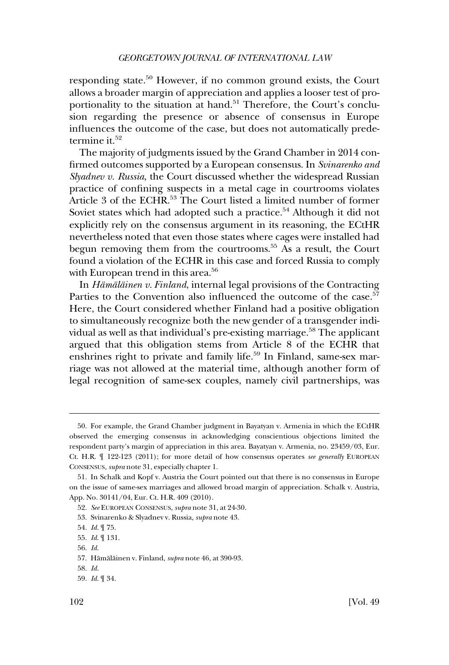responding state.<sup>50</sup> However, if no common ground exists, the Court allows a broader margin of appreciation and applies a looser test of proportionality to the situation at hand.<sup>51</sup> Therefore, the Court's conclusion regarding the presence or absence of consensus in Europe influences the outcome of the case, but does not automatically predetermine it.<sup>52</sup>

The majority of judgments issued by the Grand Chamber in 2014 confirmed outcomes supported by a European consensus. In *Svinarenko and Slyadnev v. Russia*, the Court discussed whether the widespread Russian practice of confining suspects in a metal cage in courtrooms violates Article 3 of the ECHR.<sup>53</sup> The Court listed a limited number of former Soviet states which had adopted such a practice.<sup>54</sup> Although it did not explicitly rely on the consensus argument in its reasoning, the ECtHR nevertheless noted that even those states where cages were installed had begun removing them from the courtrooms.55 As a result, the Court found a violation of the ECHR in this case and forced Russia to comply with European trend in this area.<sup>56</sup>

In *Hämäläïnen v. Finland*, internal legal provisions of the Contracting Parties to the Convention also influenced the outcome of the case.<sup>57</sup> Here, the Court considered whether Finland had a positive obligation to simultaneously recognize both the new gender of a transgender individual as well as that individual's pre-existing marriage.<sup>58</sup> The applicant argued that this obligation stems from Article 8 of the ECHR that enshrines right to private and family life.<sup>59</sup> In Finland, same-sex marriage was not allowed at the material time, although another form of legal recognition of same-sex couples, namely civil partnerships, was

<sup>50.</sup> For example, the Grand Chamber judgment in Bayatyan v. Armenia in which the ECtHR observed the emerging consensus in acknowledging conscientious objections limited the respondent party's margin of appreciation in this area. Bayatyan v. Armenia, no. 23459/03, Eur. Ct. H.R. ¶ 122-123 (2011); for more detail of how consensus operates *see generally* EUROPEAN CONSENSUS, *supra* note 31, especially chapter 1.

<sup>51.</sup> In Schalk and Kopf v. Austria the Court pointed out that there is no consensus in Europe on the issue of same-sex marriages and allowed broad margin of appreciation. Schalk v. Austria, App. No. 30141/04, Eur. Ct. H.R. 409 (2010).

<sup>52.</sup> *See* EUROPEAN CONSENSUS, *supra* note 31, at 24-30.

<sup>53.</sup> Svinarenko & Slyadnev v. Russia*, supra* note 43.

<sup>54.</sup> *Id*. ¶ 75.

<sup>55.</sup> *Id*. ¶ 131.

<sup>56.</sup> *Id*.

<sup>57.</sup> Hämäläinen v. Finland, *supra* note 46, at 390-93.

<sup>58.</sup> *Id*.

<sup>59.</sup> *Id*. ¶ 34.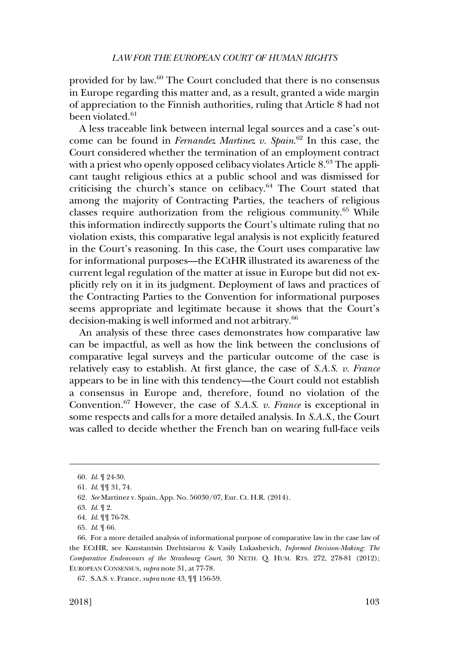provided for by law.60 The Court concluded that there is no consensus in Europe regarding this matter and, as a result, granted a wide margin of appreciation to the Finnish authorities, ruling that Article 8 had not been violated.<sup>61</sup>

A less traceable link between internal legal sources and a case's outcome can be found in *Fernandez Martinez v. Spain*. 62 In this case, the Court considered whether the termination of an employment contract with a priest who openly opposed celibacy violates Article  $8^{63}$ . The applicant taught religious ethics at a public school and was dismissed for criticising the church's stance on celibacy. $64$  The Court stated that among the majority of Contracting Parties, the teachers of religious classes require authorization from the religious community.65 While this information indirectly supports the Court's ultimate ruling that no violation exists, this comparative legal analysis is not explicitly featured in the Court's reasoning. In this case, the Court uses comparative law for informational purposes—the ECtHR illustrated its awareness of the current legal regulation of the matter at issue in Europe but did not explicitly rely on it in its judgment. Deployment of laws and practices of the Contracting Parties to the Convention for informational purposes seems appropriate and legitimate because it shows that the Court's decision-making is well informed and not arbitrary.<sup>66</sup>

An analysis of these three cases demonstrates how comparative law can be impactful, as well as how the link between the conclusions of comparative legal surveys and the particular outcome of the case is relatively easy to establish. At first glance, the case of *S.A.S. v. France*  appears to be in line with this tendency—the Court could not establish a consensus in Europe and, therefore, found no violation of the Convention.67 However, the case of *S.A.S. v. France* is exceptional in some respects and calls for a more detailed analysis. In *S.A.S*., the Court was called to decide whether the French ban on wearing full-face veils

<sup>60.</sup> *Id*. ¶ 24-30.

<sup>61.</sup> *Id*. ¶¶ 31, 74.

<sup>62.</sup> *See* Martinez v. Spain, App. No. 56030/07, Eur. Ct. H.R. (2014).

<sup>63.</sup> *Id*. ¶ 2.

<sup>64.</sup> *Id*. ¶¶ 76-78.

<sup>65.</sup> *Id*. ¶ 66.

<sup>66.</sup> For a more detailed analysis of informational purpose of comparative law in the case law of the ECtHR, see Kanstantsin Dzehtsiarou & Vasily Lukashevich, *Informed Decision-Making: The Comparative Endeavours of the Strasbourg Court*, 30 NETH. Q. HUM. RTS. 272, 278-81 (2012); EUROPEAN CONSENSUS, *supra* note 31, at 77-78.

<sup>67.</sup> S.A.S. v. France, *supra* note 43, ¶¶ 156-59.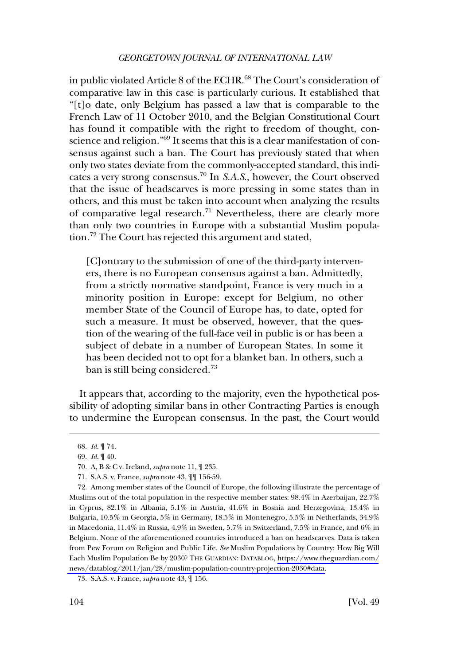in public violated Article 8 of the ECHR.<sup>68</sup> The Court's consideration of comparative law in this case is particularly curious. It established that "[t]o date, only Belgium has passed a law that is comparable to the French Law of 11 October 2010, and the Belgian Constitutional Court has found it compatible with the right to freedom of thought, conscience and religion."69 It seems that this is a clear manifestation of consensus against such a ban. The Court has previously stated that when only two states deviate from the commonly-accepted standard, this indicates a very strong consensus.70 In *S.A.S*., however, the Court observed that the issue of headscarves is more pressing in some states than in others, and this must be taken into account when analyzing the results of comparative legal research.<sup>71</sup> Nevertheless, there are clearly more than only two countries in Europe with a substantial Muslim population.<sup>72</sup> The Court has rejected this argument and stated,

[C]ontrary to the submission of one of the third-party interveners, there is no European consensus against a ban. Admittedly, from a strictly normative standpoint, France is very much in a minority position in Europe: except for Belgium, no other member State of the Council of Europe has, to date, opted for such a measure. It must be observed, however, that the question of the wearing of the full-face veil in public is or has been a subject of debate in a number of European States. In some it has been decided not to opt for a blanket ban. In others, such a ban is still being considered.<sup>73</sup>

It appears that, according to the majority, even the hypothetical possibility of adopting similar bans in other Contracting Parties is enough to undermine the European consensus. In the past, the Court would

<sup>68.</sup> *Id*. ¶ 74.

<sup>69.</sup> *Id*. ¶ 40.

<sup>70.</sup> A, B & C v. Ireland, *supra* note 11, ¶ 235.

<sup>71.</sup> S.A.S. v. France, *supra* note 43, ¶¶ 156-59.

Among member states of the Council of Europe, the following illustrate the percentage of 72. Muslims out of the total population in the respective member states: 98.4% in Azerbaijan, 22.7% in Cyprus, 82.1% in Albania, 5.1% in Austria, 41.6% in Bosnia and Herzegovina, 13.4% in Bulgaria, 10.5% in Georgia, 5% in Germany, 18.5% in Montenegro, 5.5% in Netherlands, 34.9% in Macedonia, 11.4% in Russia, 4.9% in Sweden, 5.7% in Switzerland, 7.5% in France, and 6% in Belgium. None of the aforementioned countries introduced a ban on headscarves. Data is taken from Pew Forum on Religion and Public Life. *See* Muslim Populations by Country: How Big Will Each Muslim Population Be by 2030? THE GUARDIAN: DATABLOG, [https://www.theguardian.com/](https://www.theguardian.com/news/datablog/2011/jan/28/muslim-population-country-projection-2030#data) [news/datablog/2011/jan/28/muslim-population-country-projection-2030#data.](https://www.theguardian.com/news/datablog/2011/jan/28/muslim-population-country-projection-2030#data)

<sup>73.</sup> S.A.S. v. France, *supra* note 43, ¶ 156.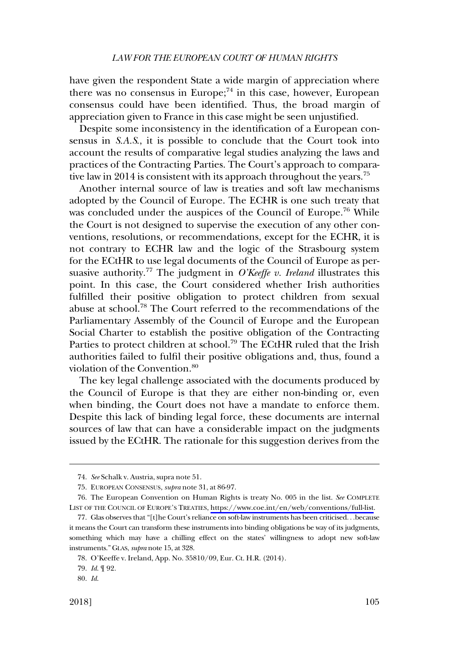have given the respondent State a wide margin of appreciation where there was no consensus in Europe; $^{74}$  in this case, however, European consensus could have been identified. Thus, the broad margin of appreciation given to France in this case might be seen unjustified.

Despite some inconsistency in the identification of a European consensus in *S.A.S*., it is possible to conclude that the Court took into account the results of comparative legal studies analyzing the laws and practices of the Contracting Parties. The Court's approach to comparative law in 2014 is consistent with its approach throughout the years.<sup>75</sup>

Another internal source of law is treaties and soft law mechanisms adopted by the Council of Europe. The ECHR is one such treaty that was concluded under the auspices of the Council of Europe.<sup>76</sup> While the Court is not designed to supervise the execution of any other conventions, resolutions, or recommendations, except for the ECHR, it is not contrary to ECHR law and the logic of the Strasbourg system for the ECtHR to use legal documents of the Council of Europe as persuasive authority.<sup>77</sup> The judgment in *O'Keeffe v. Ireland* illustrates this point. In this case, the Court considered whether Irish authorities fulfilled their positive obligation to protect children from sexual abuse at school.78 The Court referred to the recommendations of the Parliamentary Assembly of the Council of Europe and the European Social Charter to establish the positive obligation of the Contracting Parties to protect children at school.<sup>79</sup> The ECtHR ruled that the Irish authorities failed to fulfil their positive obligations and, thus, found a violation of the Convention.<sup>80</sup>

The key legal challenge associated with the documents produced by the Council of Europe is that they are either non-binding or, even when binding, the Court does not have a mandate to enforce them. Despite this lack of binding legal force, these documents are internal sources of law that can have a considerable impact on the judgments issued by the ECtHR. The rationale for this suggestion derives from the

<sup>74.</sup> *See* Schalk v. Austria, supra note 51.

<sup>75.</sup> EUROPEAN CONSENSUS, *supra* note 31, at 86-97.

The European Convention on Human Rights is treaty No. 005 in the list. *See* COMPLETE 76. LIST OF THE COUNCIL OF EUROPE'S TREATIES, [https://www.coe.int/en/web/conventions/full-list.](https://www.coe.int/en/web/conventions/full-list)

<sup>77.</sup> Glas observes that "[t]he Court's reliance on soft-law instruments has been criticised. . .because it means the Court can transform these instruments into binding obligations be way of its judgments, something which may have a chilling effect on the states' willingness to adopt new soft-law instruments." GLAS, *supra* note 15, at 328.

<sup>78.</sup> O'Keeffe v. Ireland, App. No. 35810/09, Eur. Ct. H.R. (2014).

<sup>79.</sup> *Id*. ¶ 92.

<sup>80.</sup> *Id*.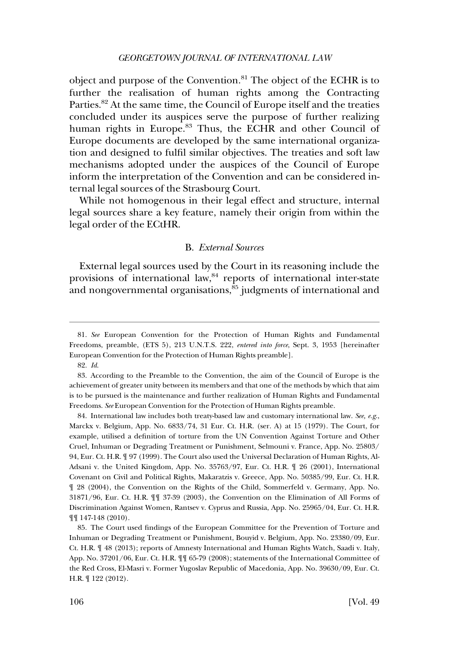<span id="page-17-0"></span>object and purpose of the Convention.<sup>81</sup> The object of the ECHR is to further the realisation of human rights among the Contracting Parties.<sup>82</sup> At the same time, the Council of Europe itself and the treaties concluded under its auspices serve the purpose of further realizing human rights in Europe.<sup>83</sup> Thus, the ECHR and other Council of Europe documents are developed by the same international organization and designed to fulfil similar objectives. The treaties and soft law mechanisms adopted under the auspices of the Council of Europe inform the interpretation of the Convention and can be considered internal legal sources of the Strasbourg Court.

While not homogenous in their legal effect and structure, internal legal sources share a key feature, namely their origin from within the legal order of the ECtHR.

# B. *External Sources*

External legal sources used by the Court in its reasoning include the provisions of international law,<sup>84</sup> reports of international inter-state and nongovernmental organisations, $85$  judgments of international and

84. International law includes both treaty-based law and customary international law. *See, e.g*., Marckx v. Belgium, App. No. 6833/74, 31 Eur. Ct. H.R. (ser. A) at 15 (1979). The Court, for example, utilised a definition of torture from the UN Convention Against Torture and Other Cruel, Inhuman or Degrading Treatment or Punishment, Selmouni v. France, App. No. 25803/ 94, Eur. Ct. H.R. ¶ 97 (1999). The Court also used the Universal Declaration of Human Rights, Al-Adsani v. the United Kingdom, App. No. 35763/97, Eur. Ct. H.R. ¶ 26 (2001), International Covenant on Civil and Political Rights, Makaratzis v. Greece, App. No. 50385/99, Eur. Ct. H.R. ¶ 28 (2004), the Convention on the Rights of the Child, Sommerfeld v. Germany, App. No. 31871/96, Eur. Ct. H.R. ¶¶ 37-39 (2003), the Convention on the Elimination of All Forms of Discrimination Against Women, Rantsev v. Cyprus and Russia, App. No. 25965/04, Eur. Ct. H.R. ¶¶ 147-148 (2010).

85. The Court used findings of the European Committee for the Prevention of Torture and Inhuman or Degrading Treatment or Punishment, Bouyid v. Belgium, App. No. 23380/09, Eur. Ct. H.R. ¶ 48 (2013); reports of Amnesty International and Human Rights Watch, Saadi v. Italy, App. No. 37201/06, Eur. Ct. H.R. ¶¶ 65-79 (2008); statements of the International Committee of the Red Cross, El-Masri v. Former Yugoslav Republic of Macedonia, App. No. 39630/09, Eur. Ct. H.R. ¶ 122 (2012).

<sup>81.</sup> *See* European Convention for the Protection of Human Rights and Fundamental Freedoms, preamble, (ETS 5), 213 U.N.T.S. 222, *entered into force*, Sept. 3, 1953 [hereinafter European Convention for the Protection of Human Rights preamble].

<sup>82.</sup> *Id*.

<sup>83.</sup> According to the Preamble to the Convention, the aim of the Council of Europe is the achievement of greater unity between its members and that one of the methods by which that aim is to be pursued is the maintenance and further realization of Human Rights and Fundamental Freedoms. *See* European Convention for the Protection of Human Rights preamble.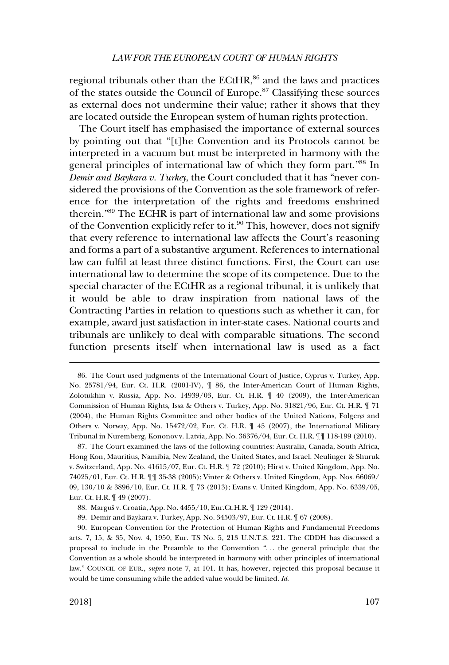regional tribunals other than the  $ECHR$ ,<sup>86</sup> and the laws and practices of the states outside the Council of Europe.87 Classifying these sources as external does not undermine their value; rather it shows that they are located outside the European system of human rights protection.

The Court itself has emphasised the importance of external sources by pointing out that "[t]he Convention and its Protocols cannot be interpreted in a vacuum but must be interpreted in harmony with the general principles of international law of which they form part."88 In *Demir and Baykara v. Turkey*, the Court concluded that it has "never considered the provisions of the Convention as the sole framework of reference for the interpretation of the rights and freedoms enshrined therein."89 The ECHR is part of international law and some provisions of the Convention explicitly refer to it.<sup>90</sup> This, however, does not signify that every reference to international law affects the Court's reasoning and forms a part of a substantive argument. References to international law can fulfil at least three distinct functions. First, the Court can use international law to determine the scope of its competence. Due to the special character of the ECtHR as a regional tribunal, it is unlikely that it would be able to draw inspiration from national laws of the Contracting Parties in relation to questions such as whether it can, for example, award just satisfaction in inter-state cases. National courts and tribunals are unlikely to deal with comparable situations. The second function presents itself when international law is used as a fact

<sup>86.</sup> The Court used judgments of the International Court of Justice, Cyprus v. Turkey, App. No. 25781/94, Eur. Ct. H.R. (2001-IV), ¶ 86, the Inter-American Court of Human Rights, Zolotukhin v. Russia, App. No. 14939/03, Eur. Ct. H.R. ¶ 40 (2009), the Inter-American Commission of Human Rights, Issa & Others v. Turkey, App. No. 31821/96, Eur. Ct. H.R. ¶ 71 (2004), the Human Rights Committee and other bodies of the United Nations, Folgerø and Others v. Norway, App. No. 15472/02, Eur. Ct. H.R. ¶ 45 (2007), the International Military Tribunal in Nuremberg, Kononov v. Latvia, App. No. 36376/04, Eur. Ct. H.R. ¶¶ 118-199 (2010).

<sup>87.</sup> The Court examined the laws of the following countries: Australia, Canada, South Africa, Hong Kon, Mauritius, Namibia, New Zealand, the United States, and Israel. Neulinger & Shuruk v. Switzerland, App. No. 41615/07, Eur. Ct. H.R. ¶ 72 (2010); Hirst v. United Kingdom, App. No. 74025/01, Eur. Ct. H.R. ¶¶ 35-38 (2005); Vinter & Others v. United Kingdom, App. Nos. 66069/ 09, 130/10 & 3896/10, Eur. Ct. H.R. ¶ 73 (2013); Evans v. United Kingdom, App. No. 6339/05, Eur. Ct. H.R. ¶ 49 (2007).

<sup>88.</sup> Marguš v. Croatia, App. No. 4455/10, Eur.Ct.H.R. ¶ 129 (2014).

<sup>89.</sup> Demir and Baykara v. Turkey, App. No. 34503/97, Eur. Ct. H.R. ¶ 67 (2008).

<sup>90.</sup> European Convention for the Protection of Human Rights and Fundamental Freedoms arts. 7, 15, & 35, Nov. 4, 1950, Eur. TS No. 5, 213 U.N.T.S. 221. The CDDH has discussed a proposal to include in the Preamble to the Convention ". . . the general principle that the Convention as a whole should be interpreted in harmony with other principles of international law." COUNCIL OF EUR., *supra* note 7, at 101. It has, however, rejected this proposal because it would be time consuming while the added value would be limited. *Id*.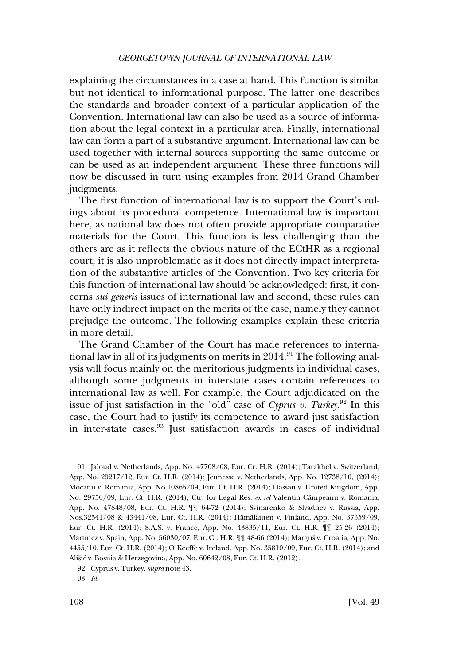explaining the circumstances in a case at hand. This function is similar but not identical to informational purpose. The latter one describes the standards and broader context of a particular application of the Convention. International law can also be used as a source of information about the legal context in a particular area. Finally, international law can form a part of a substantive argument. International law can be used together with internal sources supporting the same outcome or can be used as an independent argument. These three functions will now be discussed in turn using examples from 2014 Grand Chamber judgments.

The first function of international law is to support the Court's rulings about its procedural competence. International law is important here, as national law does not often provide appropriate comparative materials for the Court. This function is less challenging than the others are as it reflects the obvious nature of the ECtHR as a regional court; it is also unproblematic as it does not directly impact interpretation of the substantive articles of the Convention. Two key criteria for this function of international law should be acknowledged: first, it concerns *sui generis* issues of international law and second, these rules can have only indirect impact on the merits of the case, namely they cannot prejudge the outcome. The following examples explain these criteria in more detail.

The Grand Chamber of the Court has made references to international law in all of its judgments on merits in  $2014$ .<sup>91</sup> The following analysis will focus mainly on the meritorious judgments in individual cases, although some judgments in interstate cases contain references to international law as well. For example, the Court adjudicated on the issue of just satisfaction in the "old" case of *Cyprus v. Turkey*. 92 In this case, the Court had to justify its competence to award just satisfaction in inter-state cases.93 Just satisfaction awards in cases of individual

<sup>91.</sup> Jaloud v. Netherlands, App. No. 47708/08, Eur. Cr. H.R. (2014); Tarakhel v. Switzerland, App. No. 29217/12, Eur. Ct. H.R. (2014); Jeunesse v. Netherlands, App. No. 12738/10, (2014); Mocanu v. Romania, App. No.10865/09, Eur. Ct. H.R. (2014); Hassan v. United Kingdom, App. No. 29750/09, Eur. Ct. H.R. (2014); Ctr. for Legal Res. ex rel Valentin Câmpeanu v. Romania, App. No. 47848/08, Eur. Ct. H.R. ¶¶ 64-72 (2014); Svinarenko & Slyadnev v. Russia, App. Nos.32541/08 & 43441/08, Eur. Ct. H.R. (2014): Hämäläinen v. Finland, App. No. 37359/09, Eur. Ct. H.R. (2014); S.A.S. v. France, App. No. 43835/11, Eur. Ct. H.R. ¶¶ 25-26 (2014); Martínez v. Spain, App. No. 56030/07, Eur. Ct. H.R.  $\sqrt{\sqrt{ }}$  48-66 (2014); Marguš v. Croatia, App. No. 4455/10, Eur. Ct. H.R. (2014); O'Keeffe v. Ireland, App. No. 35810/09, Eur. Ct. H.R. (2014); and Ališić v. Bosnia & Herzegovina, App. No. 60642/08, Eur. Ct. H.R. (2012).

<sup>92.</sup> Cyprus v. Turkey, *supra* note 43.

<sup>93.</sup> *Id*.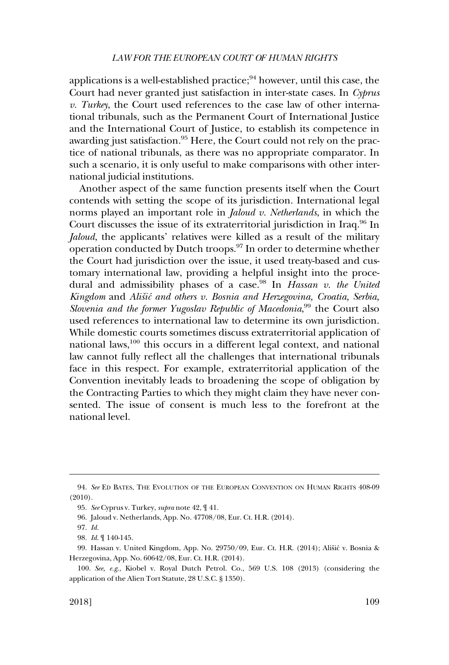#### *LAW FOR THE EUROPEAN COURT OF HUMAN RIGHTS*

applications is a well-established practice; $94$  however, until this case, the Court had never granted just satisfaction in inter-state cases. In *Cyprus v. Turkey*, the Court used references to the case law of other international tribunals, such as the Permanent Court of International Justice and the International Court of Justice, to establish its competence in awarding just satisfaction.<sup>95</sup> Here, the Court could not rely on the practice of national tribunals, as there was no appropriate comparator. In such a scenario, it is only useful to make comparisons with other international judicial institutions.

Another aspect of the same function presents itself when the Court contends with setting the scope of its jurisdiction. International legal norms played an important role in *Jaloud v. Netherlands*, in which the Court discusses the issue of its extraterritorial jurisdiction in Iraq.<sup>96</sup> In *Jaloud*, the applicants' relatives were killed as a result of the military operation conducted by Dutch troops.<sup>97</sup> In order to determine whether the Court had jurisdiction over the issue, it used treaty-based and customary international law, providing a helpful insight into the procedural and admissibility phases of a case.98 In *Hassan v. the United*  Kingdom and *Ališić and others v. Bosnia and Herzegovina, Croatia, Serbia,* Slovenia and the former Yugoslav Republic of Macedonia,<sup>99</sup> the Court also used references to international law to determine its own jurisdiction. While domestic courts sometimes discuss extraterritorial application of national laws, $100$  this occurs in a different legal context, and national law cannot fully reflect all the challenges that international tribunals face in this respect. For example, extraterritorial application of the Convention inevitably leads to broadening the scope of obligation by the Contracting Parties to which they might claim they have never consented. The issue of consent is much less to the forefront at the national level.

<sup>94.</sup> *See* ED BATES, THE EVOLUTION OF THE EUROPEAN CONVENTION ON HUMAN RIGHTS 408-09 (2010).

<sup>95.</sup> *See* Cyprus v. Turkey, *supra* note 42, ¶ 41.

<sup>96.</sup> Jaloud v. Netherlands, App. No. 47708/08, Eur. Ct. H.R. (2014).

<sup>97.</sup> *Id*.

<sup>98.</sup> *Id*. ¶ 140-145.

<sup>99.</sup> Hassan v. United Kingdom, App. No. 29750/09, Eur. Ct. H.R. (2014); Ališić v. Bosnia & Herzegovina, App. No. 60642/08, Eur. Ct. H.R. (2014).

<sup>100.</sup> *See, e.g*., Kiobel v. Royal Dutch Petrol. Co., 569 U.S. 108 (2013) (considering the application of the Alien Tort Statute, 28 U.S.C. § 1350).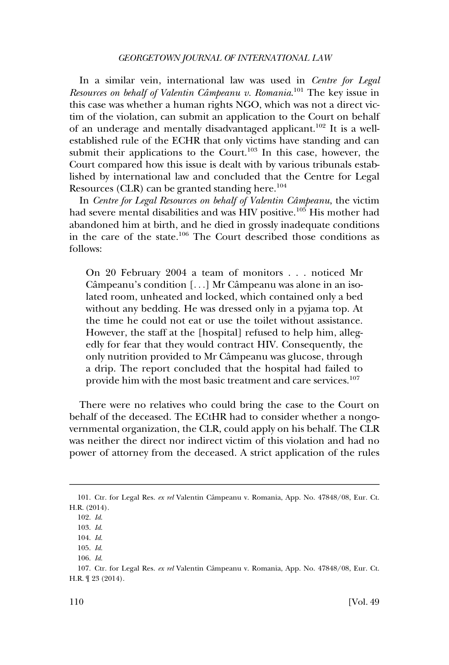In a similar vein, international law was used in *Centre for Legal Resources on behalf of Valentin Câmpeanu v. Romania*.<sup>101</sup> The key issue in this case was whether a human rights NGO, which was not a direct victim of the violation, can submit an application to the Court on behalf of an underage and mentally disadvantaged applicant.<sup>102</sup> It is a wellestablished rule of the ECHR that only victims have standing and can submit their applications to the Court.<sup>103</sup> In this case, however, the Court compared how this issue is dealt with by various tribunals established by international law and concluded that the Centre for Legal Resources (CLR) can be granted standing here.<sup>104</sup>

In *Centre for Legal Resources on behalf of Valentin Câmpeanu*, the victim had severe mental disabilities and was HIV positive.<sup>105</sup> His mother had abandoned him at birth, and he died in grossly inadequate conditions in the care of the state.<sup>106</sup> The Court described those conditions as follows:

On 20 February 2004 a team of monitors . . . noticed Mr Câmpeanu's condition [...] Mr Câmpeanu was alone in an isolated room, unheated and locked, which contained only a bed without any bedding. He was dressed only in a pyjama top. At the time he could not eat or use the toilet without assistance. However, the staff at the [hospital] refused to help him, allegedly for fear that they would contract HIV. Consequently, the only nutrition provided to Mr Câmpeanu was glucose, through a drip. The report concluded that the hospital had failed to provide him with the most basic treatment and care services.<sup>107</sup>

There were no relatives who could bring the case to the Court on behalf of the deceased. The ECtHR had to consider whether a nongovernmental organization, the CLR, could apply on his behalf. The CLR was neither the direct nor indirect victim of this violation and had no power of attorney from the deceased. A strict application of the rules

<sup>101.</sup> Ctr. for Legal Res. *ex rel* Valentin Câmpeanu v. Romania, App. No. 47848/08, Eur. Ct. H.R. (2014).

<sup>102.</sup> *Id*.

<sup>103.</sup> *Id*.

<sup>104.</sup> *Id*.

<sup>105.</sup> *Id*.

<sup>106.</sup> *Id*.

<sup>107.</sup> Ctr. for Legal Res. ex rel Valentin Câmpeanu v. Romania, App. No. 47848/08, Eur. Ct. H.R. ¶ 23 (2014).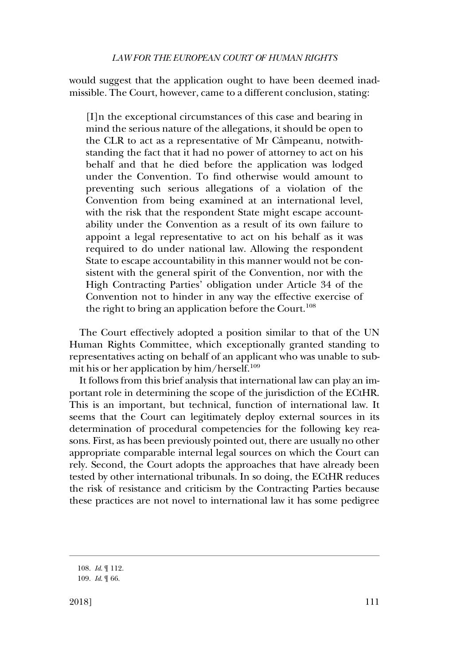would suggest that the application ought to have been deemed inadmissible. The Court, however, came to a different conclusion, stating:

[I]n the exceptional circumstances of this case and bearing in mind the serious nature of the allegations, it should be open to the CLR to act as a representative of Mr Câmpeanu, notwithstanding the fact that it had no power of attorney to act on his behalf and that he died before the application was lodged under the Convention. To find otherwise would amount to preventing such serious allegations of a violation of the Convention from being examined at an international level, with the risk that the respondent State might escape accountability under the Convention as a result of its own failure to appoint a legal representative to act on his behalf as it was required to do under national law. Allowing the respondent State to escape accountability in this manner would not be consistent with the general spirit of the Convention, nor with the High Contracting Parties' obligation under Article 34 of the Convention not to hinder in any way the effective exercise of the right to bring an application before the Court.<sup>108</sup>

The Court effectively adopted a position similar to that of the UN Human Rights Committee, which exceptionally granted standing to representatives acting on behalf of an applicant who was unable to submit his or her application by him/herself.<sup>109</sup>

It follows from this brief analysis that international law can play an important role in determining the scope of the jurisdiction of the ECtHR. This is an important, but technical, function of international law. It seems that the Court can legitimately deploy external sources in its determination of procedural competencies for the following key reasons. First, as has been previously pointed out, there are usually no other appropriate comparable internal legal sources on which the Court can rely. Second, the Court adopts the approaches that have already been tested by other international tribunals. In so doing, the ECtHR reduces the risk of resistance and criticism by the Contracting Parties because these practices are not novel to international law it has some pedigree

<sup>108.</sup> *Id*. ¶ 112.

<sup>109.</sup> *Id*. ¶ 66.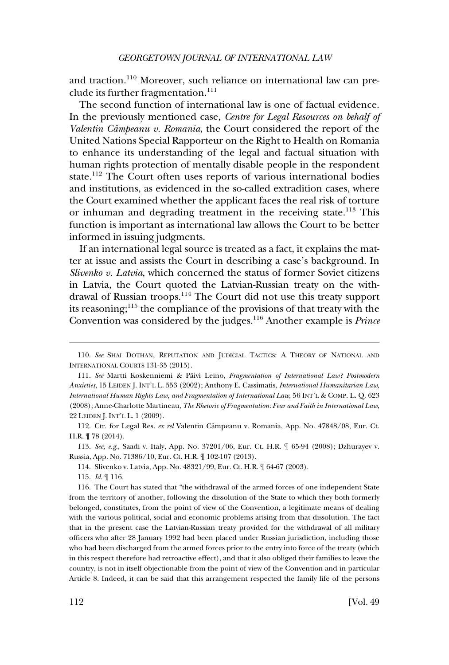and traction.110 Moreover, such reliance on international law can preclude its further fragmentation.<sup>111</sup>

The second function of international law is one of factual evidence. In the previously mentioned case, *Centre for Legal Resources on behalf of*  Valentin Câmpeanu v. Romania, the Court considered the report of the United Nations Special Rapporteur on the Right to Health on Romania to enhance its understanding of the legal and factual situation with human rights protection of mentally disable people in the respondent state.112 The Court often uses reports of various international bodies and institutions, as evidenced in the so-called extradition cases, where the Court examined whether the applicant faces the real risk of torture or inhuman and degrading treatment in the receiving state.<sup>113</sup> This function is important as international law allows the Court to be better informed in issuing judgments.

If an international legal source is treated as a fact, it explains the matter at issue and assists the Court in describing a case's background. In *Slivenko v. Latvia*, which concerned the status of former Soviet citizens in Latvia, the Court quoted the Latvian-Russian treaty on the withdrawal of Russian troops.114 The Court did not use this treaty support its reasoning; $115$  the compliance of the provisions of that treaty with the Convention was considered by the judges.116 Another example is *Prince* 

113. *See, e.g*., Saadi v. Italy, App. No. 37201/06, Eur. Ct. H.R. ¶ 65-94 (2008); Dzhurayev v. Russia, App. No. 71386/10, Eur. Ct. H.R. ¶ 102-107 (2013).

114. Slivenko v. Latvia, App. No. 48321/99, Eur. Ct. H.R. ¶ 64-67 (2003).

116. The Court has stated that "the withdrawal of the armed forces of one independent State from the territory of another, following the dissolution of the State to which they both formerly belonged, constitutes, from the point of view of the Convention, a legitimate means of dealing with the various political, social and economic problems arising from that dissolution. The fact that in the present case the Latvian-Russian treaty provided for the withdrawal of all military officers who after 28 January 1992 had been placed under Russian jurisdiction, including those who had been discharged from the armed forces prior to the entry into force of the treaty (which in this respect therefore had retroactive effect), and that it also obliged their families to leave the country, is not in itself objectionable from the point of view of the Convention and in particular Article 8. Indeed, it can be said that this arrangement respected the family life of the persons

<sup>110.</sup> *See* SHAI DOTHAN, REPUTATION AND JUDICIAL TACTICS: A THEORY OF NATIONAL AND INTERNATIONAL COURTS 131-35 (2015).

<sup>111.</sup> See Martti Koskenniemi & Päivi Leino, Fragmentation of International Law? Postmodern *Anxieties*, 15 LEIDEN J. INT'L L. 553 (2002); Anthony E. Cassimatis, *International Humanitarian Law, International Human Rights Law, and Fragmentation of International Law*, 56 INT'L & COMP. L. Q. 623 (2008); Anne-Charlotte Martineau, *The Rhetoric of Fragmentation: Fear and Faith in International Law*, 22 LEIDEN J. INT'L L. 1 (2009).

<sup>112.</sup> Ctr. for Legal Res. ex rel Valentin Câmpeanu v. Romania, App. No. 47848/08, Eur. Ct. H.R. ¶ 78 (2014).

<sup>115.</sup> *Id*. ¶ 116.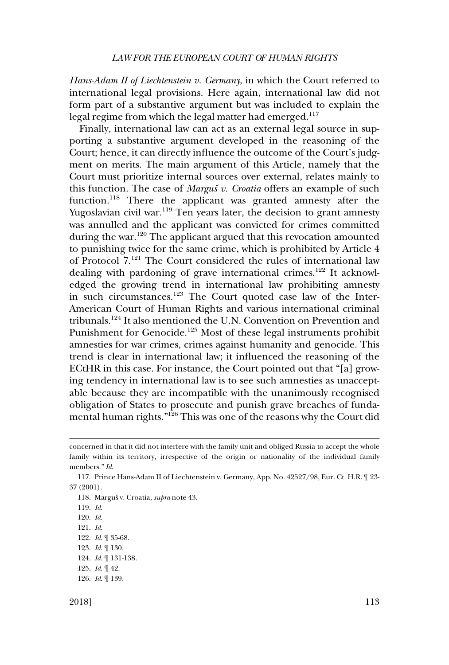#### *LAW FOR THE EUROPEAN COURT OF HUMAN RIGHTS*

*Hans-Adam II of Liechtenstein v. Germany*, in which the Court referred to international legal provisions. Here again, international law did not form part of a substantive argument but was included to explain the legal regime from which the legal matter had emerged.<sup>117</sup>

Finally, international law can act as an external legal source in supporting a substantive argument developed in the reasoning of the Court; hence, it can directly influence the outcome of the Court's judgment on merits. The main argument of this Article, namely that the Court must prioritize internal sources over external, relates mainly to this function. The case of *Marguš* v. *Croatia* offers an example of such function.<sup>118</sup> There the applicant was granted amnesty after the Yugoslavian civil war.<sup>119</sup> Ten years later, the decision to grant amnesty was annulled and the applicant was convicted for crimes committed during the war.<sup>120</sup> The applicant argued that this revocation amounted to punishing twice for the same crime, which is prohibited by Article 4 of Protocol 7.121 The Court considered the rules of international law dealing with pardoning of grave international crimes.<sup>122</sup> It acknowledged the growing trend in international law prohibiting amnesty in such circumstances.123 The Court quoted case law of the Inter-American Court of Human Rights and various international criminal tribunals.124 It also mentioned the U.N. Convention on Prevention and Punishment for Genocide.<sup>125</sup> Most of these legal instruments prohibit amnesties for war crimes, crimes against humanity and genocide. This trend is clear in international law; it influenced the reasoning of the ECtHR in this case. For instance, the Court pointed out that "[a] growing tendency in international law is to see such amnesties as unacceptable because they are incompatible with the unanimously recognised obligation of States to prosecute and punish grave breaches of fundamental human rights."126 This was one of the reasons why the Court did

118. Marguš v. Croatia, supra note 43.

concerned in that it did not interfere with the family unit and obliged Russia to accept the whole family within its territory, irrespective of the origin or nationality of the individual family members." *Id*.

<sup>117.</sup> Prince Hans-Adam II of Liechtenstein v. Germany, App. No. 42527/98, Eur. Ct. H.R. ¶ 23- 37 (2001).

<sup>119.</sup> *Id*.

<sup>120.</sup> *Id*.

<sup>121.</sup> *Id*.

<sup>122.</sup> *Id*. ¶ 35-68.

<sup>123.</sup> *Id*. ¶ 130.

<sup>124.</sup> *Id*. ¶ 131-138.

<sup>125.</sup> *Id*. ¶ 42.

<sup>126.</sup> *Id*. ¶ 139.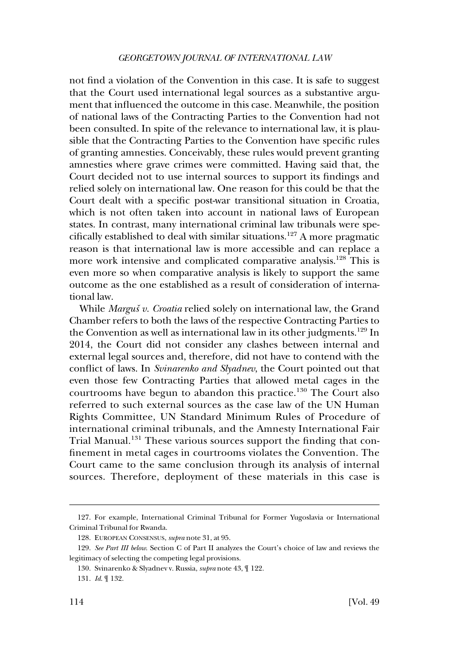not find a violation of the Convention in this case. It is safe to suggest that the Court used international legal sources as a substantive argument that influenced the outcome in this case. Meanwhile, the position of national laws of the Contracting Parties to the Convention had not been consulted. In spite of the relevance to international law, it is plausible that the Contracting Parties to the Convention have specific rules of granting amnesties. Conceivably, these rules would prevent granting amnesties where grave crimes were committed. Having said that, the Court decided not to use internal sources to support its findings and relied solely on international law. One reason for this could be that the Court dealt with a specific post-war transitional situation in Croatia, which is not often taken into account in national laws of European states. In contrast, many international criminal law tribunals were specifically established to deal with similar situations.<sup>127</sup> A more pragmatic reason is that international law is more accessible and can replace a more work intensive and complicated comparative analysis.<sup>128</sup> This is even more so when comparative analysis is likely to support the same outcome as the one established as a result of consideration of international law.

While *Marguš* v. Croatia relied solely on international law, the Grand Chamber refers to both the laws of the respective Contracting Parties to the Convention as well as international law in its other judgments.<sup>129</sup> In 2014, the Court did not consider any clashes between internal and external legal sources and, therefore, did not have to contend with the conflict of laws. In *Svinarenko and Slyadnev*, the Court pointed out that even those few Contracting Parties that allowed metal cages in the courtrooms have begun to abandon this practice.<sup>130</sup> The Court also referred to such external sources as the case law of the UN Human Rights Committee, UN Standard Minimum Rules of Procedure of international criminal tribunals, and the Amnesty International Fair Trial Manual.<sup>131</sup> These various sources support the finding that confinement in metal cages in courtrooms violates the Convention. The Court came to the same conclusion through its analysis of internal sources. Therefore, deployment of these materials in this case is

<sup>127.</sup> For example, International Criminal Tribunal for Former Yugoslavia or International Criminal Tribunal for Rwanda.

<sup>128.</sup> EUROPEAN CONSENSUS, *supra* note 31, at 95.

<sup>129.</sup> *See Part III below*. Section C of Part II analyzes the Court's choice of law and reviews the legitimacy of selecting the competing legal provisions.

<sup>130.</sup> Svinarenko & Slyadnev v. Russia, *supra* note 43, ¶ 122.

<sup>131.</sup> *Id*. ¶ 132.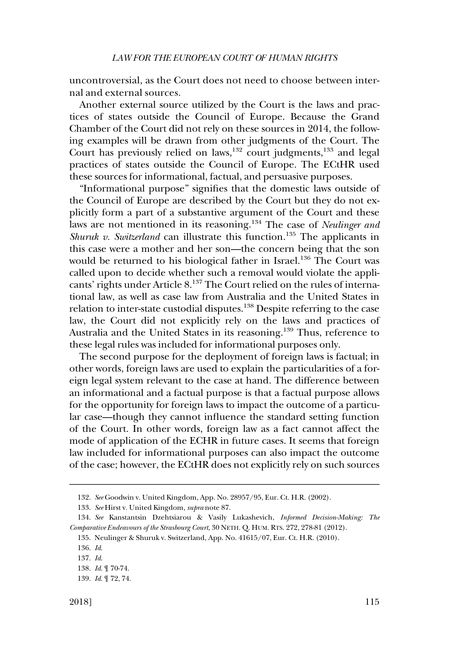uncontroversial, as the Court does not need to choose between internal and external sources.

Another external source utilized by the Court is the laws and practices of states outside the Council of Europe. Because the Grand Chamber of the Court did not rely on these sources in 2014, the following examples will be drawn from other judgments of the Court. The Court has previously relied on laws,<sup>132</sup> court judgments,<sup>133</sup> and legal practices of states outside the Council of Europe. The ECtHR used these sources for informational, factual, and persuasive purposes.

"Informational purpose" signifies that the domestic laws outside of the Council of Europe are described by the Court but they do not explicitly form a part of a substantive argument of the Court and these laws are not mentioned in its reasoning.134 The case of *Neulinger and Shuruk v. Switzerland* can illustrate this function.<sup>135</sup> The applicants in this case were a mother and her son—the concern being that the son would be returned to his biological father in Israel.<sup>136</sup> The Court was called upon to decide whether such a removal would violate the applicants' rights under Article 8.137 The Court relied on the rules of international law, as well as case law from Australia and the United States in relation to inter-state custodial disputes.<sup>138</sup> Despite referring to the case law, the Court did not explicitly rely on the laws and practices of Australia and the United States in its reasoning.139 Thus, reference to these legal rules was included for informational purposes only.

The second purpose for the deployment of foreign laws is factual; in other words, foreign laws are used to explain the particularities of a foreign legal system relevant to the case at hand. The difference between an informational and a factual purpose is that a factual purpose allows for the opportunity for foreign laws to impact the outcome of a particular case—though they cannot influence the standard setting function of the Court. In other words, foreign law as a fact cannot affect the mode of application of the ECHR in future cases. It seems that foreign law included for informational purposes can also impact the outcome of the case; however, the ECtHR does not explicitly rely on such sources

<sup>132.</sup> *See* Goodwin v. United Kingdom, App. No. 28957/95, Eur. Ct. H.R. (2002).

<sup>133.</sup> *See* Hirst v. United Kingdom, *supra* note 87.

<sup>134.</sup> *See* Kanstantsin Dzehtsiarou & Vasily Lukashevich, *Informed Decision-Making: The Comparative Endeavours of the Strasbourg Court*, 30 NETH. Q. HUM. RTS. 272, 278-81 (2012).

<sup>135.</sup> Neulinger & Shuruk v. Switzerland, App. No. 41615/07, Eur. Ct. H.R. (2010).

<sup>136.</sup> *Id*.

<sup>137.</sup> *Id*.

<sup>138.</sup> *Id*. ¶ 70-74.

<sup>139.</sup> *Id*. ¶ 72, 74.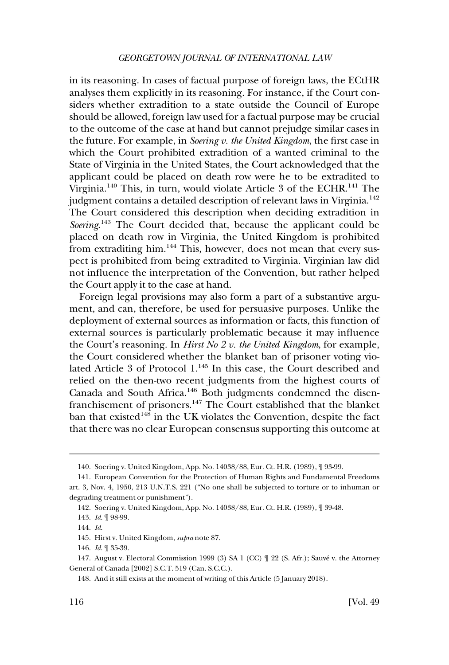in its reasoning. In cases of factual purpose of foreign laws, the ECtHR analyses them explicitly in its reasoning. For instance, if the Court considers whether extradition to a state outside the Council of Europe should be allowed, foreign law used for a factual purpose may be crucial to the outcome of the case at hand but cannot prejudge similar cases in the future. For example, in *Soering v. the United Kingdom*, the first case in which the Court prohibited extradition of a wanted criminal to the State of Virginia in the United States, the Court acknowledged that the applicant could be placed on death row were he to be extradited to Virginia.<sup>140</sup> This, in turn, would violate Article 3 of the ECHR.<sup>141</sup> The judgment contains a detailed description of relevant laws in Virginia.<sup>142</sup> The Court considered this description when deciding extradition in Soering.<sup>143</sup> The Court decided that, because the applicant could be placed on death row in Virginia, the United Kingdom is prohibited from extraditing him.<sup>144</sup> This, however, does not mean that every suspect is prohibited from being extradited to Virginia. Virginian law did not influence the interpretation of the Convention, but rather helped the Court apply it to the case at hand.

Foreign legal provisions may also form a part of a substantive argument, and can, therefore, be used for persuasive purposes. Unlike the deployment of external sources as information or facts, this function of external sources is particularly problematic because it may influence the Court's reasoning. In *Hirst No 2 v. the United Kingdom*, for example, the Court considered whether the blanket ban of prisoner voting violated Article 3 of Protocol 1.145 In this case, the Court described and relied on the then-two recent judgments from the highest courts of Canada and South Africa.146 Both judgments condemned the disenfranchisement of prisoners.147 The Court established that the blanket ban that existed<sup>148</sup> in the UK violates the Convention, despite the fact that there was no clear European consensus supporting this outcome at

<sup>140.</sup> Soering v. United Kingdom, App. No. 14038/88, Eur. Ct. H.R. (1989), ¶ 93-99.

<sup>141.</sup> European Convention for the Protection of Human Rights and Fundamental Freedoms art. 3, Nov. 4, 1950, 213 U.N.T.S. 221 ("No one shall be subjected to torture or to inhuman or degrading treatment or punishment").

<sup>142.</sup> Soering v. United Kingdom, App. No. 14038/88, Eur. Ct. H.R. (1989), ¶ 39-48.

<sup>143.</sup> *Id*. ¶ 98-99.

<sup>144.</sup> *Id*.

<sup>145.</sup> Hirst v. United Kingdom, *supra* note 87.

<sup>146.</sup> *Id*. ¶ 35-39.

<sup>147.</sup> August v. Electoral Commission 1999 (3) SA 1 (CC)  $\parallel$  22 (S. Afr.); Sauvé v. the Attorney General of Canada [2002] S.C.T. 519 (Can. S.C.C.).

<sup>148.</sup> And it still exists at the moment of writing of this Article (5 January 2018).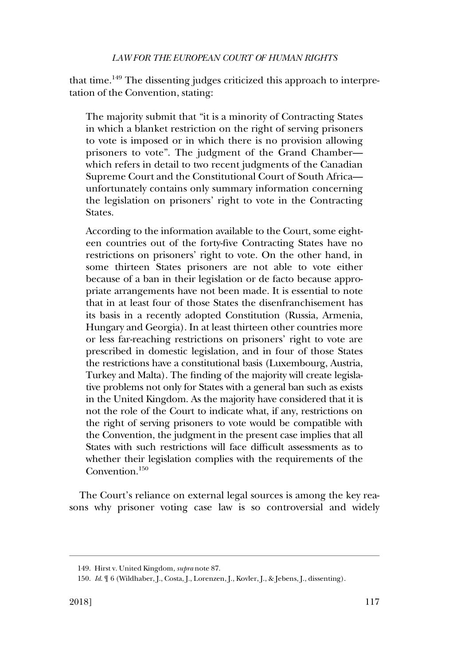that time.<sup>149</sup> The dissenting judges criticized this approach to interpretation of the Convention, stating:

The majority submit that "it is a minority of Contracting States in which a blanket restriction on the right of serving prisoners to vote is imposed or in which there is no provision allowing prisoners to vote". The judgment of the Grand Chamber which refers in detail to two recent judgments of the Canadian Supreme Court and the Constitutional Court of South Africa unfortunately contains only summary information concerning the legislation on prisoners' right to vote in the Contracting States.

According to the information available to the Court, some eighteen countries out of the forty-five Contracting States have no restrictions on prisoners' right to vote. On the other hand, in some thirteen States prisoners are not able to vote either because of a ban in their legislation or de facto because appropriate arrangements have not been made. It is essential to note that in at least four of those States the disenfranchisement has its basis in a recently adopted Constitution (Russia, Armenia, Hungary and Georgia). In at least thirteen other countries more or less far-reaching restrictions on prisoners' right to vote are prescribed in domestic legislation, and in four of those States the restrictions have a constitutional basis (Luxembourg, Austria, Turkey and Malta). The finding of the majority will create legislative problems not only for States with a general ban such as exists in the United Kingdom. As the majority have considered that it is not the role of the Court to indicate what, if any, restrictions on the right of serving prisoners to vote would be compatible with the Convention, the judgment in the present case implies that all States with such restrictions will face difficult assessments as to whether their legislation complies with the requirements of the Convention.150

The Court's reliance on external legal sources is among the key reasons why prisoner voting case law is so controversial and widely

<sup>149.</sup> Hirst v. United Kingdom, *supra* note 87.

<sup>150.</sup> *Id*. ¶ 6 (Wildhaber, J., Costa, J., Lorenzen, J., Kovler, J., & Jebens, J., dissenting).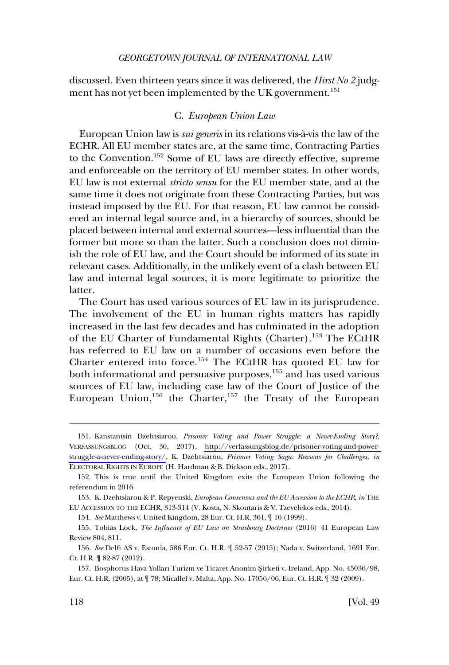<span id="page-29-0"></span>discussed. Even thirteen years since it was delivered, the *Hirst No 2* judgment has not yet been implemented by the UK government.<sup>151</sup>

# C. *European Union Law*

European Union law is *sui generis* in its relations vis-a`-vis the law of the ECHR. All EU member states are, at the same time, Contracting Parties to the Convention.152 Some of EU laws are directly effective, supreme and enforceable on the territory of EU member states. In other words, EU law is not external *stricto sensu* for the EU member state, and at the same time it does not originate from these Contracting Parties, but was instead imposed by the EU. For that reason, EU law cannot be considered an internal legal source and, in a hierarchy of sources, should be placed between internal and external sources—less influential than the former but more so than the latter. Such a conclusion does not diminish the role of EU law, and the Court should be informed of its state in relevant cases. Additionally, in the unlikely event of a clash between EU law and internal legal sources, it is more legitimate to prioritize the latter.

The Court has used various sources of EU law in its jurisprudence. The involvement of the EU in human rights matters has rapidly increased in the last few decades and has culminated in the adoption of the EU Charter of Fundamental Rights (Charter).153 The ECtHR has referred to EU law on a number of occasions even before the Charter entered into force.154 The ECtHR has quoted EU law for both informational and persuasive purposes,<sup>155</sup> and has used various sources of EU law, including case law of the Court of Justice of the European Union,  $156$  the Charter,  $157$  the Treaty of the European

154. *See* Matthews v. United Kingdom, 28 Eur. Ct. H.R. 361, ¶ 16 (1999).

<sup>151.</sup> Kanstantsin Dzehtsiarou, Prisoner Voting and Power Struggle: a Never-Ending Story?, VERFASSUNGSBLOG (Oct. 30, 2017), [http://verfassungsblog.de/prisoner-voting-and-power](http://verfassungsblog.de/prisoner-voting-and-power-struggle-a-never-ending-story/)[struggle-a-never-ending-story/,](http://verfassungsblog.de/prisoner-voting-and-power-struggle-a-never-ending-story/) K. Dzehtsiarou, *Prisoner Voting Saga: Reasons for Challenges, in*  ELECTORAL RIGHTS IN EUROPE (H. Hardman & B. Dickson eds., 2017).

<sup>152.</sup> This is true until the United Kingdom exits the European Union following the referendum in 2016.

<sup>153.</sup> K. Dzehtsiarou & P. Repyeuski, *European Consensus and the EU Accession to the ECHR*, *in* THE EU ACCESSION TO THE ECHR, 313-314 (V. Kosta, N. Skoutaris & V. Tzevelekos eds., 2014).

<sup>155.</sup> Tobias Lock, *The Influence of EU Law on Strasbourg Doctrines* (2016) 41 European Law Review 804, 811.

<sup>156.</sup> *See* Delfi AS v. Estonia, 586 Eur. Ct. H.R. ¶ 52-57 (2015); Nada v. Switzerland, 1691 Eur. Ct. H.R. ¶ 82-87 (2012).

<sup>157.</sup> Bosphorus Hava Yolları Turizm ve Ticaret Anonim S**�** irketi v. Ireland, App. No. 45036/98, Eur. Ct. H.R. (2005), at ¶ 78; Micallef v. Malta, App. No. 17056/06, Eur. Ct. H.R. ¶ 32 (2009).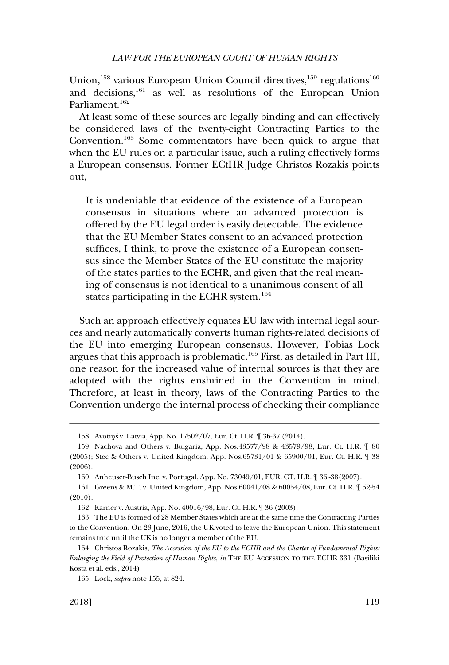Union,<sup>158</sup> various European Union Council directives,<sup>159</sup> regulations<sup>160</sup> and decisions,161 as well as resolutions of the European Union Parliament.<sup>162</sup>

At least some of these sources are legally binding and can effectively be considered laws of the twenty-eight Contracting Parties to the Convention.163 Some commentators have been quick to argue that when the EU rules on a particular issue, such a ruling effectively forms a European consensus. Former ECtHR Judge Christos Rozakis points out,

It is undeniable that evidence of the existence of a European consensus in situations where an advanced protection is offered by the EU legal order is easily detectable. The evidence that the EU Member States consent to an advanced protection suffices, I think, to prove the existence of a European consensus since the Member States of the EU constitute the majority of the states parties to the ECHR, and given that the real meaning of consensus is not identical to a unanimous consent of all states participating in the ECHR system.<sup>164</sup>

Such an approach effectively equates EU law with internal legal sources and nearly automatically converts human rights-related decisions of the EU into emerging European consensus. However, Tobias Lock argues that this approach is problematic.165 First, as detailed in Part III, one reason for the increased value of internal sources is that they are adopted with the rights enshrined in the Convention in mind. Therefore, at least in theory, laws of the Contracting Parties to the Convention undergo the internal process of checking their compliance

<sup>158.</sup> Avotiņš v. Latvia, App. No. 17502/07, Eur. Ct. H.R. ¶ 36-37 (2014).

<sup>159.</sup> Nachova and Others v. Bulgaria, App. Nos.43577/98 & 43579/98, Eur. Ct. H.R. ¶ 80 (2005); Stec & Others v. United Kingdom, App. Nos.65731/01 & 65900/01, Eur. Ct. H.R. ¶ 38 (2006).

<sup>160.</sup> Anheuser-Busch Inc. v. Portugal, App. No. 73049/01, EUR. CT. H.R. ¶ 36 -38(2007).

<sup>161.</sup> Greens & M.T. v. United Kingdom, App. Nos.60041/08 & 60054/08, Eur. Ct. H.R. ¶ 52-54 (2010).

<sup>162.</sup> Karner v. Austria, App. No. 40016/98, Eur. Ct. H.R. ¶ 36 (2003).

<sup>163.</sup> The EU is formed of 28 Member States which are at the same time the Contracting Parties to the Convention. On 23 June, 2016, the UK voted to leave the European Union. This statement remains true until the UK is no longer a member of the EU.

<sup>164.</sup> Christos Rozakis, *The Accession of the EU to the ECHR and the Charter of Fundamental Rights: Enlarging the Field of Protection of Human Rights, in* THE EU ACCESSION TO THE ECHR 331 (Basiliki Kosta et al. eds., 2014).

<sup>165.</sup> Lock, *supra* note 155, at 824.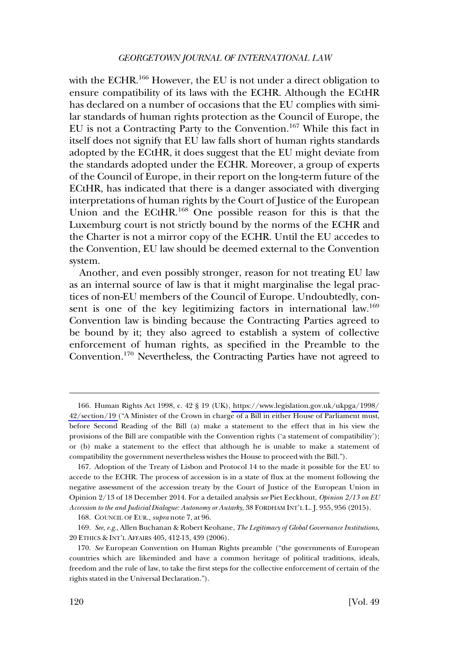with the ECHR.<sup>166</sup> However, the EU is not under a direct obligation to ensure compatibility of its laws with the ECHR. Although the ECtHR has declared on a number of occasions that the EU complies with similar standards of human rights protection as the Council of Europe, the EU is not a Contracting Party to the Convention.167 While this fact in itself does not signify that EU law falls short of human rights standards adopted by the ECtHR, it does suggest that the EU might deviate from the standards adopted under the ECHR. Moreover, a group of experts of the Council of Europe, in their report on the long-term future of the ECtHR, has indicated that there is a danger associated with diverging interpretations of human rights by the Court of Justice of the European Union and the ECtHR.168 One possible reason for this is that the Luxemburg court is not strictly bound by the norms of the ECHR and the Charter is not a mirror copy of the ECHR. Until the EU accedes to the Convention, EU law should be deemed external to the Convention system.

Another, and even possibly stronger, reason for not treating EU law as an internal source of law is that it might marginalise the legal practices of non-EU members of the Council of Europe. Undoubtedly, consent is one of the key legitimizing factors in international law.<sup>169</sup> Convention law is binding because the Contracting Parties agreed to be bound by it; they also agreed to establish a system of collective enforcement of human rights, as specified in the Preamble to the Convention.170 Nevertheless, the Contracting Parties have not agreed to

<sup>166.</sup> Human Rights Act 1998, c. 42 § 19 (UK), [https://www.legislation.gov.uk/ukpga/1998/](https://www.legislation.gov.uk/ukpga/1998/42/section/19) [42/section/19](https://www.legislation.gov.uk/ukpga/1998/42/section/19) ("A Minister of the Crown in charge of a Bill in either House of Parliament must, before Second Reading of the Bill (a) make a statement to the effect that in his view the provisions of the Bill are compatible with the Convention rights ('a statement of compatibility'); or (b) make a statement to the effect that although he is unable to make a statement of compatibility the government nevertheless wishes the House to proceed with the Bill.").

<sup>167.</sup> Adoption of the Treaty of Lisbon and Protocol 14 to the made it possible for the EU to accede to the ECHR. The process of accession is in a state of flux at the moment following the negative assessment of the accession treaty by the Court of Justice of the European Union in Opinion 2/13 of 18 December 2014. For a detailed analysis *see* Piet Eeckhout, *Opinion 2/13 on EU Accession to the and Judicial Dialogue: Autonomy or Autarky*, 38 FORDHAM INT'L L. J. 955, 956 (2015).

<sup>168.</sup> COUNCIL OF EUR., *supra* note 7, at 96.

<sup>169.</sup> *See*, *e.g*., Allen Buchanan & Robert Keohane, *The Legitimacy of Global Governance Institutions*, 20 ETHICS & INT'L AFFAIRS 405, 412-13, 439 (2006).

<sup>170.</sup> *See* European Convention on Human Rights preamble ("the governments of European countries which are likeminded and have a common heritage of political traditions, ideals, freedom and the rule of law, to take the first steps for the collective enforcement of certain of the rights stated in the Universal Declaration.").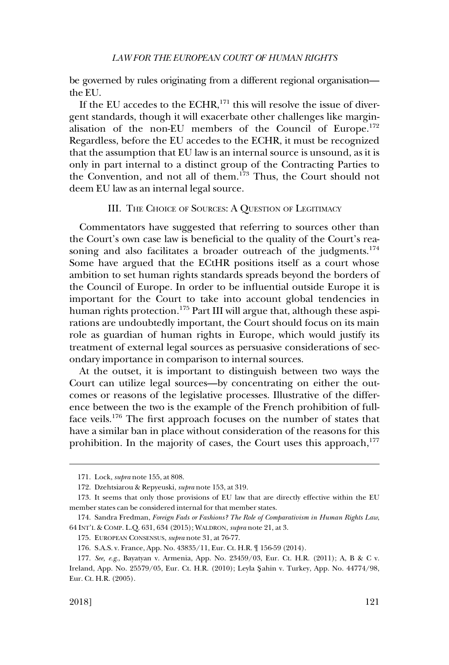<span id="page-32-0"></span>be governed by rules originating from a different regional organisation the EU.

If the EU accedes to the ECHR, $^{171}$  this will resolve the issue of divergent standards, though it will exacerbate other challenges like marginalisation of the non-EU members of the Council of Europe.<sup>172</sup> Regardless, before the EU accedes to the ECHR, it must be recognized that the assumption that EU law is an internal source is unsound, as it is only in part internal to a distinct group of the Contracting Parties to the Convention, and not all of them.<sup>173</sup> Thus, the Court should not deem EU law as an internal legal source.

# III. THE CHOICE OF SOURCES: A QUESTION OF LEGITIMACY

Commentators have suggested that referring to sources other than the Court's own case law is beneficial to the quality of the Court's reasoning and also facilitates a broader outreach of the judgments.<sup>174</sup> Some have argued that the ECtHR positions itself as a court whose ambition to set human rights standards spreads beyond the borders of the Council of Europe. In order to be influential outside Europe it is important for the Court to take into account global tendencies in human rights protection.<sup>175</sup> Part III will argue that, although these aspirations are undoubtedly important, the Court should focus on its main role as guardian of human rights in Europe, which would justify its treatment of external legal sources as persuasive considerations of secondary importance in comparison to internal sources.

At the outset, it is important to distinguish between two ways the Court can utilize legal sources—by concentrating on either the outcomes or reasons of the legislative processes. Illustrative of the difference between the two is the example of the French prohibition of fullface veils.176 The first approach focuses on the number of states that have a similar ban in place without consideration of the reasons for this prohibition. In the majority of cases, the Court uses this approach, $177$ 

<sup>171.</sup> Lock, *supra* note 155, at 808.

<sup>172.</sup> Dzehtsiarou & Repyeuski, *supra* note 153, at 319.

<sup>173.</sup> It seems that only those provisions of EU law that are directly effective within the EU member states can be considered internal for that member states.

<sup>174.</sup> Sandra Fredman, *Foreign Fads or Fashions? The Role of Comparativism in Human Rights Law*, 64 INT'L & COMP. L.Q. 631, 634 (2015); WALDRON, *supra* note 21, at 3.

<sup>175.</sup> EUROPEAN CONSENSUS, *supra* note 31, at 76-77.

<sup>176.</sup> S.A.S. v. France, App. No. 43835/11, Eur. Ct. H.R. ¶ 156-59 (2014).

<sup>177.</sup> *See, e.g*., Bayatyan v. Armenia, App. No. 23459/03, Eur. Ct. H.R. (2011); A, B & C v. Ireland, App. No. 25579/05, Eur. Ct. H.R. (2010); Leyla S**�** ahin v. Turkey, App. No. 44774/98, Eur. Ct. H.R. (2005).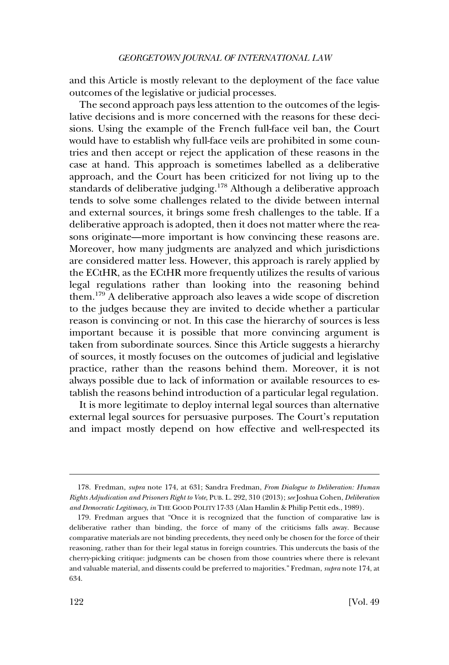and this Article is mostly relevant to the deployment of the face value outcomes of the legislative or judicial processes.

The second approach pays less attention to the outcomes of the legislative decisions and is more concerned with the reasons for these decisions. Using the example of the French full-face veil ban, the Court would have to establish why full-face veils are prohibited in some countries and then accept or reject the application of these reasons in the case at hand. This approach is sometimes labelled as a deliberative approach, and the Court has been criticized for not living up to the standards of deliberative judging.178 Although a deliberative approach tends to solve some challenges related to the divide between internal and external sources, it brings some fresh challenges to the table. If a deliberative approach is adopted, then it does not matter where the reasons originate—more important is how convincing these reasons are. Moreover, how many judgments are analyzed and which jurisdictions are considered matter less. However, this approach is rarely applied by the ECtHR, as the ECtHR more frequently utilizes the results of various legal regulations rather than looking into the reasoning behind them.179 A deliberative approach also leaves a wide scope of discretion to the judges because they are invited to decide whether a particular reason is convincing or not. In this case the hierarchy of sources is less important because it is possible that more convincing argument is taken from subordinate sources. Since this Article suggests a hierarchy of sources, it mostly focuses on the outcomes of judicial and legislative practice, rather than the reasons behind them. Moreover, it is not always possible due to lack of information or available resources to establish the reasons behind introduction of a particular legal regulation.

It is more legitimate to deploy internal legal sources than alternative external legal sources for persuasive purposes. The Court's reputation and impact mostly depend on how effective and well-respected its

<sup>178.</sup> Fredman, *supra* note 174, at 631; Sandra Fredman, *From Dialogue to Deliberation: Human Rights Adjudication and Prisoners Right to Vote*, PUB. L. 292, 310 (2013); *see* Joshua Cohen, *Deliberation and Democratic Legitimacy*, *in* THE GOOD POLITY 17-33 (Alan Hamlin & Philip Pettit eds., 1989).

<sup>179.</sup> Fredman argues that "Once it is recognized that the function of comparative law is deliberative rather than binding, the force of many of the criticisms falls away. Because comparative materials are not binding precedents, they need only be chosen for the force of their reasoning, rather than for their legal status in foreign countries. This undercuts the basis of the cherry-picking critique: judgments can be chosen from those countries where there is relevant and valuable material, and dissents could be preferred to majorities." Fredman, *supra* note 174, at 634.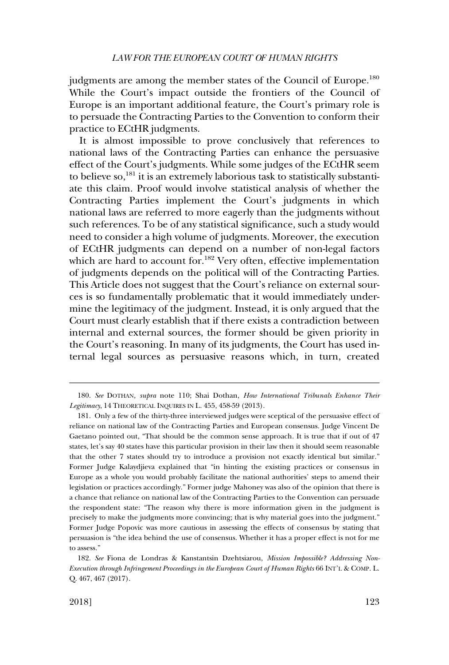judgments are among the member states of the Council of Europe.<sup>180</sup> While the Court's impact outside the frontiers of the Council of Europe is an important additional feature, the Court's primary role is to persuade the Contracting Parties to the Convention to conform their practice to ECtHR judgments.

It is almost impossible to prove conclusively that references to national laws of the Contracting Parties can enhance the persuasive effect of the Court's judgments. While some judges of the ECtHR seem to believe so,181 it is an extremely laborious task to statistically substantiate this claim. Proof would involve statistical analysis of whether the Contracting Parties implement the Court's judgments in which national laws are referred to more eagerly than the judgments without such references. To be of any statistical significance, such a study would need to consider a high volume of judgments. Moreover, the execution of ECtHR judgments can depend on a number of non-legal factors which are hard to account for.<sup>182</sup> Very often, effective implementation of judgments depends on the political will of the Contracting Parties. This Article does not suggest that the Court's reliance on external sources is so fundamentally problematic that it would immediately undermine the legitimacy of the judgment. Instead, it is only argued that the Court must clearly establish that if there exists a contradiction between internal and external sources, the former should be given priority in the Court's reasoning. In many of its judgments, the Court has used internal legal sources as persuasive reasons which, in turn, created

<sup>180.</sup> *See* DOTHAN*, supra* note 110; Shai Dothan, *How International Tribunals Enhance Their Legitimacy*, 14 THEORETICAL INQUIRES IN L. 455, 458-59 (2013).

<sup>181.</sup> Only a few of the thirty-three interviewed judges were sceptical of the persuasive effect of reliance on national law of the Contracting Parties and European consensus. Judge Vincent De Gaetano pointed out, "That should be the common sense approach. It is true that if out of 47 states, let's say 40 states have this particular provision in their law then it should seem reasonable that the other 7 states should try to introduce a provision not exactly identical but similar." Former Judge Kalaydjieva explained that "in hinting the existing practices or consensus in Europe as a whole you would probably facilitate the national authorities' steps to amend their legislation or practices accordingly." Former judge Mahoney was also of the opinion that there is a chance that reliance on national law of the Contracting Parties to the Convention can persuade the respondent state: "The reason why there is more information given in the judgment is precisely to make the judgments more convincing; that is why material goes into the judgment." Former Judge Popovic was more cautious in assessing the effects of consensus by stating that persuasion is "the idea behind the use of consensus. Whether it has a proper effect is not for me to assess."

<sup>182.</sup> *See* Fiona de Londras & Kanstantsin Dzehtsiarou, *Mission Impossible? Addressing Non-Execution through Infringement Proceedings in the European Court of Human Rights* 66 INT'L & COMP. L. Q. 467, 467 (2017).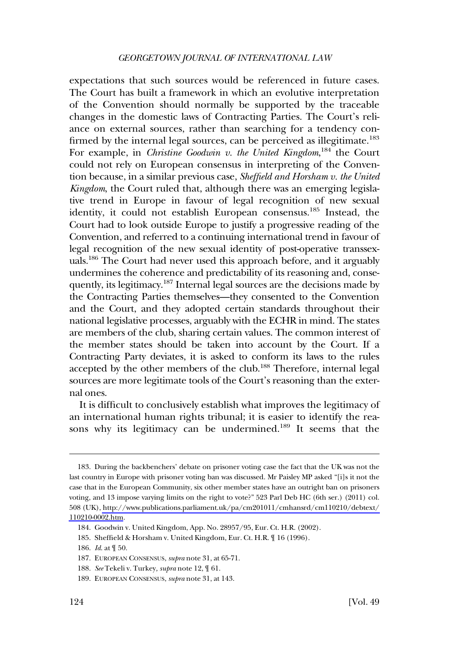expectations that such sources would be referenced in future cases. The Court has built a framework in which an evolutive interpretation of the Convention should normally be supported by the traceable changes in the domestic laws of Contracting Parties. The Court's reliance on external sources, rather than searching for a tendency confirmed by the internal legal sources, can be perceived as illegitimate.<sup>183</sup> For example, in *Christine Goodwin v. the United Kingdom*, 184 the Court could not rely on European consensus in interpreting of the Convention because, in a similar previous case, *Sheffield and Horsham v. the United Kingdom*, the Court ruled that, although there was an emerging legislative trend in Europe in favour of legal recognition of new sexual identity, it could not establish European consensus.185 Instead, the Court had to look outside Europe to justify a progressive reading of the Convention, and referred to a continuing international trend in favour of legal recognition of the new sexual identity of post-operative transsexuals.<sup>186</sup> The Court had never used this approach before, and it arguably undermines the coherence and predictability of its reasoning and, consequently, its legitimacy.187 Internal legal sources are the decisions made by the Contracting Parties themselves—they consented to the Convention and the Court, and they adopted certain standards throughout their national legislative processes, arguably with the ECHR in mind. The states are members of the club, sharing certain values. The common interest of the member states should be taken into account by the Court. If a Contracting Party deviates, it is asked to conform its laws to the rules accepted by the other members of the club.<sup>188</sup> Therefore, internal legal sources are more legitimate tools of the Court's reasoning than the external ones.

It is difficult to conclusively establish what improves the legitimacy of an international human rights tribunal; it is easier to identify the reasons why its legitimacy can be undermined.189 It seems that the

<sup>183.</sup> During the backbenchers' debate on prisoner voting case the fact that the UK was not the last country in Europe with prisoner voting ban was discussed. Mr Paisley MP asked "[i]s it not the case that in the European Community, six other member states have an outright ban on prisoners voting, and 13 impose varying limits on the right to vote?" 523 Parl Deb HC (6th ser.) (2011) col. 508 (UK), [http://www.publications.parliament.uk/pa/cm201011/cmhansrd/cm110210/debtext/](https://publications.parliament.uk/pa/cm201011/cmhansrd/cm110210/debtext/110210-0002.htm)  [110210-0002.htm.](https://publications.parliament.uk/pa/cm201011/cmhansrd/cm110210/debtext/110210-0002.htm)

<sup>184.</sup> Goodwin v. United Kingdom, App. No. 28957/95, Eur. Ct. H.R. (2002).

<sup>185.</sup> Sheffield & Horsham v. United Kingdom, Eur. Ct. H.R. ¶ 16 (1996).

<sup>186.</sup> *Id*. at ¶ 50.

<sup>187.</sup> EUROPEAN CONSENSUS, *supra* note 31, at 65-71.

<sup>188.</sup> *See* Tekeli v. Turkey*, supra* note 12, ¶ 61.

<sup>189.</sup> EUROPEAN CONSENSUS, *supra* note 31, at 143.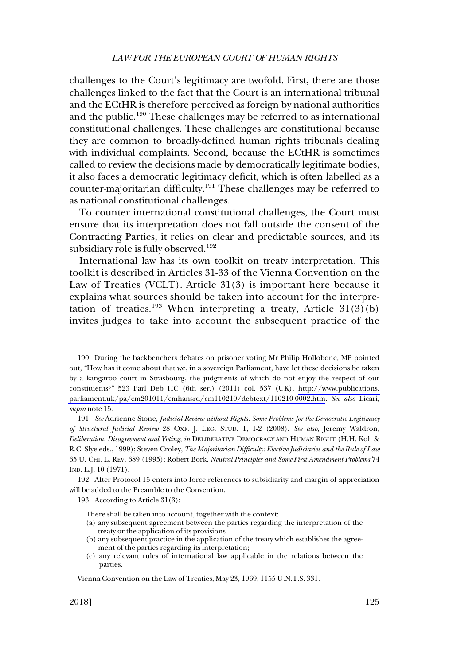# *LAW FOR THE EUROPEAN COURT OF HUMAN RIGHTS*

challenges to the Court's legitimacy are twofold. First, there are those challenges linked to the fact that the Court is an international tribunal and the ECtHR is therefore perceived as foreign by national authorities and the public.<sup>190</sup> These challenges may be referred to as international constitutional challenges. These challenges are constitutional because they are common to broadly-defined human rights tribunals dealing with individual complaints. Second, because the ECtHR is sometimes called to review the decisions made by democratically legitimate bodies, it also faces a democratic legitimacy deficit, which is often labelled as a counter-majoritarian difficulty.191 These challenges may be referred to as national constitutional challenges.

To counter international constitutional challenges, the Court must ensure that its interpretation does not fall outside the consent of the Contracting Parties, it relies on clear and predictable sources, and its subsidiary role is fully observed.<sup>192</sup>

International law has its own toolkit on treaty interpretation. This toolkit is described in Articles 31-33 of the Vienna Convention on the Law of Treaties (VCLT). Article 31(3) is important here because it explains what sources should be taken into account for the interpretation of treaties.<sup>193</sup> When interpreting a treaty, Article  $31(3)(b)$ invites judges to take into account the subsequent practice of the

193. According to Article 31(3):

There shall be taken into account, together with the context:

- (a) any subsequent agreement between the parties regarding the interpretation of the treaty or the application of its provisions
- (b) any subsequent practice in the application of the treaty which establishes the agreement of the parties regarding its interpretation;
- (c) any relevant rules of international law applicable in the relations between the parties.

<sup>190.</sup> During the backbenchers debates on prisoner voting Mr Philip Hollobone, MP pointed out, "How has it come about that we, in a sovereign Parliament, have let these decisions be taken by a kangaroo court in Strasbourg, the judgments of which do not enjoy the respect of our constituents?" 523 Parl Deb HC (6th ser.) (2011) col. 537 (UK), [http://www.publications.](http://www.publications.parliament.uk/pa/cm201011/cmhansrd/cm110210/debtext/110210-0002.htm)  [parliament.uk/pa/cm201011/cmhansrd/cm110210/debtext/110210-0002.htm](http://www.publications.parliament.uk/pa/cm201011/cmhansrd/cm110210/debtext/110210-0002.htm). *See also* Licari, *supra* note 15.

<sup>191.</sup> *See* Adrienne Stone, *Judicial Review without Rights: Some Problems for the Democratic Legitimacy of Structural Judicial Review* 28 OXF. J. LEG. STUD. 1, 1-2 (2008). *See also*, Jeremy Waldron, *Deliberation, Disagreement and Voting, in* DELIBERATIVE DEMOCRACY AND HUMAN RIGHT (H.H. Koh & R.C. Slye eds., 1999); Steven Croley, *The Majoritarian Difficulty: Elective Judiciaries and the Rule of Law*  65 U. CHI. L. REV. 689 (1995); Robert Bork, *Neutral Principles and Some First Amendment Problems* 74 IND. L.J. 10 (1971).

<sup>192.</sup> After Protocol 15 enters into force references to subsidiarity and margin of appreciation will be added to the Preamble to the Convention.

Vienna Convention on the Law of Treaties, May 23, 1969, 1155 U.N.T.S. 331.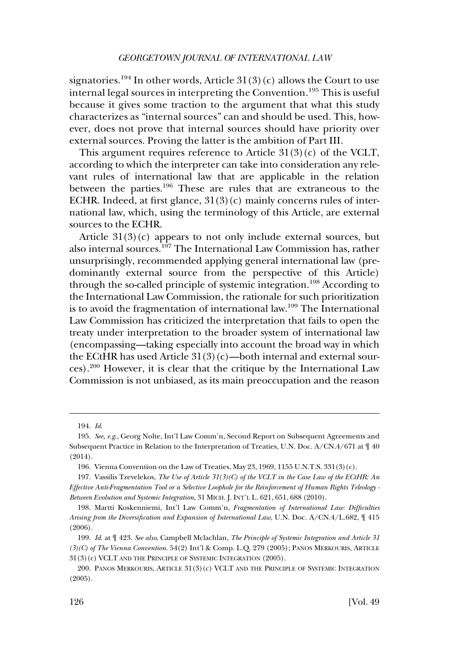signatories.<sup>194</sup> In other words, Article  $31(3)(c)$  allows the Court to use internal legal sources in interpreting the Convention.<sup>195</sup> This is useful because it gives some traction to the argument that what this study characterizes as "internal sources" can and should be used. This, however, does not prove that internal sources should have priority over external sources. Proving the latter is the ambition of Part III.

This argument requires reference to Article  $31(3)(c)$  of the VCLT, according to which the interpreter can take into consideration any relevant rules of international law that are applicable in the relation between the parties.196 These are rules that are extraneous to the ECHR. Indeed, at first glance,  $31(3)(c)$  mainly concerns rules of international law, which, using the terminology of this Article, are external sources to the ECHR.

Article  $31(3)(c)$  appears to not only include external sources, but also internal sources.<sup>197</sup> The International Law Commission has, rather unsurprisingly, recommended applying general international law (predominantly external source from the perspective of this Article) through the so-called principle of systemic integration.<sup>198</sup> According to the International Law Commission, the rationale for such prioritization is to avoid the fragmentation of international law.199 The International Law Commission has criticized the interpretation that fails to open the treaty under interpretation to the broader system of international law (encompassing—taking especially into account the broad way in which the ECtHR has used Article  $31(3)(c)$ —both internal and external sources).200 However, it is clear that the critique by the International Law Commission is not unbiased, as its main preoccupation and the reason

<sup>194.</sup> *Id*.

<sup>195.</sup> *See, e.g*., Georg Nolte, Int'l Law Comm'n, Second Report on Subsequent Agreements and Subsequent Practice in Relation to the Interpretation of Treaties, U.N. Doc. A/CN.4/671 at ¶ 40 (2014).

<sup>196.</sup> Vienna Convention on the Law of Treaties, May 23, 1969, 1155 U.N.T.S. 331(3)(c).

<sup>197.</sup> Vassilis Tzevelekos, *The Use of Article 31(3)(C) of the VCLT in the Case Law of the ECtHR: An Effective Anti-Fragmentation Tool or a Selective Loophole for the Reinforcement of Human Rights Teleology - Between Evolution and Systemic Integration*, 31 MICH. J. INT'L L. 621, 651, 688 (2010).

<sup>198.</sup> Martti Koskenniemi, Int'l Law Comm'n, *Fragmentation of International Law: Difficulties Arising from the Diversification and Expansion of International Law*, U.N. Doc. A/CN.4/L.682, ¶ 415 (2006).

<sup>199.</sup> *Id*. at ¶ 423. *See also*, Campbell Mclachlan, *The Principle of Systemic Integration and Article 31 (3)(C) of The Vienna Convention*. 54(2) Int'l & Comp. L.Q. 279 (2005); PANOS MERKOURIS, ARTICLE 31(3)(c) VCLT AND THE PRINCIPLE OF SYSTEMIC INTEGRATION (2005).

<sup>200.</sup> PANOS MERKOURIS, ARTICLE 31(3)(c) VCLT AND THE PRINCIPLE OF SYSTEMIC INTEGRATION (2005).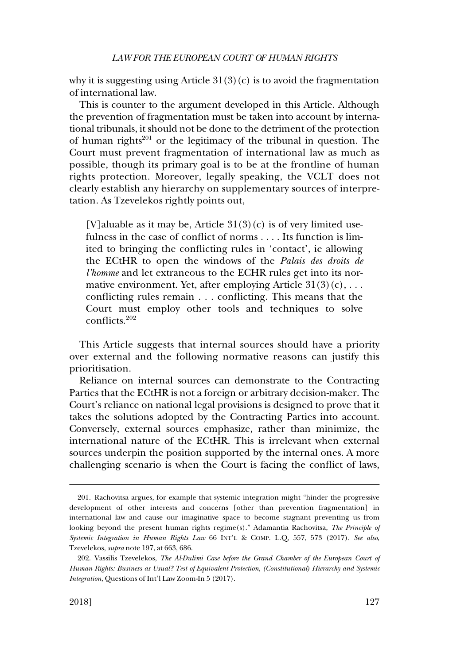why it is suggesting using Article  $31(3)(c)$  is to avoid the fragmentation of international law.

This is counter to the argument developed in this Article. Although the prevention of fragmentation must be taken into account by international tribunals, it should not be done to the detriment of the protection of human rights $201$  or the legitimacy of the tribunal in question. The Court must prevent fragmentation of international law as much as possible, though its primary goal is to be at the frontline of human rights protection. Moreover, legally speaking, the VCLT does not clearly establish any hierarchy on supplementary sources of interpretation. As Tzevelekos rightly points out,

[V]aluable as it may be, Article  $31(3)(c)$  is of very limited usefulness in the case of conflict of norms . . . . Its function is limited to bringing the conflicting rules in 'contact', ie allowing the ECtHR to open the windows of the *Palais des droits de l'homme* and let extraneous to the ECHR rules get into its normative environment. Yet, after employing Article  $31(3)(c)$ , ... conflicting rules remain . . . conflicting. This means that the Court must employ other tools and techniques to solve conflicts.<sup>202</sup>

This Article suggests that internal sources should have a priority over external and the following normative reasons can justify this prioritisation.

Reliance on internal sources can demonstrate to the Contracting Parties that the ECtHR is not a foreign or arbitrary decision-maker. The Court's reliance on national legal provisions is designed to prove that it takes the solutions adopted by the Contracting Parties into account. Conversely, external sources emphasize, rather than minimize, the international nature of the ECtHR. This is irrelevant when external sources underpin the position supported by the internal ones. A more challenging scenario is when the Court is facing the conflict of laws,

<sup>201.</sup> Rachovitsa argues, for example that systemic integration might "hinder the progressive development of other interests and concerns [other than prevention fragmentation] in international law and cause our imaginative space to become stagnant preventing us from looking beyond the present human rights regime(s)." Adamantia Rachovitsa, *The Principle of Systemic Integration in Human Rights Law* 66 INT'L & COMP. L.Q, 557, 573 (2017). *See also*, Tzevelekos, *supra* note 197, at 663, 686.

<sup>202.</sup> Vassilis Tzevelekos, *The Al-Dulimi Case before the Grand Chamber of the European Court of Human Rights: Business as Usual? Test of Equivalent Protection, (Constitutional) Hierarchy and Systemic Integration*, Questions of Int'l Law Zoom-In 5 (2017).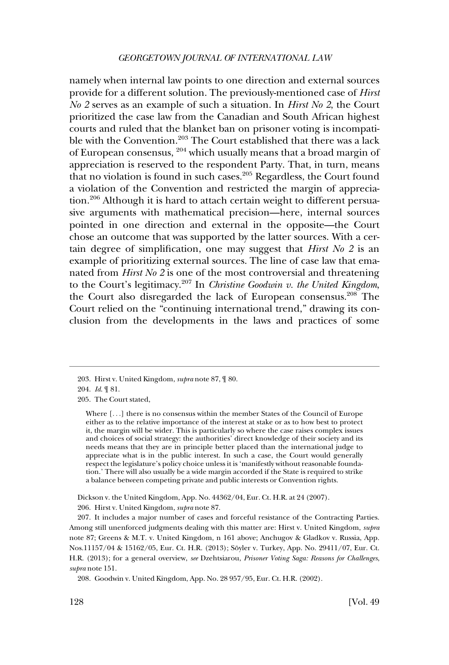namely when internal law points to one direction and external sources provide for a different solution. The previously-mentioned case of *Hirst No 2* serves as an example of such a situation. In *Hirst No 2*, the Court prioritized the case law from the Canadian and South African highest courts and ruled that the blanket ban on prisoner voting is incompatible with the Convention.<sup>203</sup> The Court established that there was a lack of European consensus, 204 which usually means that a broad margin of appreciation is reserved to the respondent Party. That, in turn, means that no violation is found in such cases.<sup>205</sup> Regardless, the Court found a violation of the Convention and restricted the margin of appreciation.<sup>206</sup> Although it is hard to attach certain weight to different persuasive arguments with mathematical precision—here, internal sources pointed in one direction and external in the opposite—the Court chose an outcome that was supported by the latter sources. With a certain degree of simplification, one may suggest that *Hirst No 2* is an example of prioritizing external sources. The line of case law that emanated from *Hirst No 2* is one of the most controversial and threatening to the Court's legitimacy.207 In *Christine Goodwin v. the United Kingdom*, the Court also disregarded the lack of European consensus.<sup>208</sup> The Court relied on the "continuing international trend," drawing its conclusion from the developments in the laws and practices of some

205. The Court stated,

Dickson v. the United Kingdom, App. No. 44362/04, Eur. Ct. H.R. at 24 (2007). 206. Hirst v. United Kingdom, *supra* note 87.

207. It includes a major number of cases and forceful resistance of the Contracting Parties. Among still unenforced judgments dealing with this matter are: Hirst v. United Kingdom, *supra*  note 87; Greens & M.T. v. United Kingdom, n 161 above; Anchugov & Gladkov v. Russia, App. Nos.11157/04 & 15162/05, Eur. Ct. H.R. (2013); Söyler v. Turkey, App. No. 29411/07, Eur. Ct. H.R. (2013); for a general overview, *see* Dzehtsiarou, *Prisoner Voting Saga: Reasons for Challenges*, *supra* note 151.

<sup>203.</sup> Hirst v. United Kingdom, *supra* note 87, ¶ 80.

<sup>204.</sup> *Id*. ¶ 81.

Where [. . .] there is no consensus within the member States of the Council of Europe either as to the relative importance of the interest at stake or as to how best to protect it, the margin will be wider. This is particularly so where the case raises complex issues and choices of social strategy: the authorities' direct knowledge of their society and its needs means that they are in principle better placed than the international judge to appreciate what is in the public interest. In such a case, the Court would generally respect the legislature's policy choice unless it is 'manifestly without reasonable foundation.' There will also usually be a wide margin accorded if the State is required to strike a balance between competing private and public interests or Convention rights.

<sup>208.</sup> Goodwin v. United Kingdom, App. No. 28 957/95, Eur. Ct. H.R. (2002).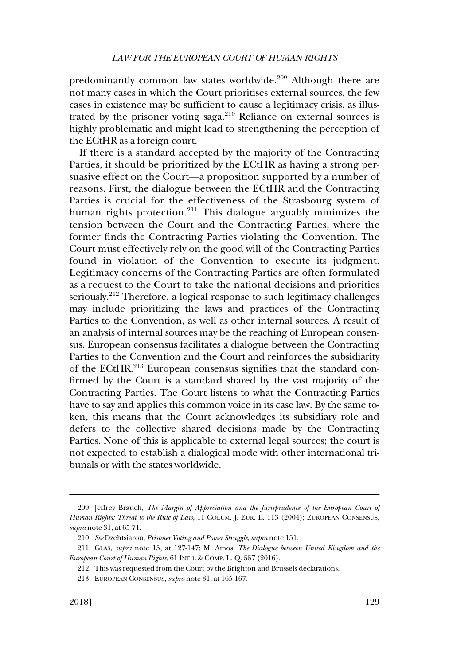predominantly common law states worldwide.<sup>209</sup> Although there are not many cases in which the Court prioritises external sources, the few cases in existence may be sufficient to cause a legitimacy crisis, as illustrated by the prisoner voting saga. $210$  Reliance on external sources is highly problematic and might lead to strengthening the perception of the ECtHR as a foreign court.

If there is a standard accepted by the majority of the Contracting Parties, it should be prioritized by the ECtHR as having a strong persuasive effect on the Court—a proposition supported by a number of reasons. First, the dialogue between the ECtHR and the Contracting Parties is crucial for the effectiveness of the Strasbourg system of human rights protection.<sup>211</sup> This dialogue arguably minimizes the tension between the Court and the Contracting Parties, where the former finds the Contracting Parties violating the Convention. The Court must effectively rely on the good will of the Contracting Parties found in violation of the Convention to execute its judgment. Legitimacy concerns of the Contracting Parties are often formulated as a request to the Court to take the national decisions and priorities seriously.<sup>212</sup> Therefore, a logical response to such legitimacy challenges may include prioritizing the laws and practices of the Contracting Parties to the Convention, as well as other internal sources. A result of an analysis of internal sources may be the reaching of European consensus. European consensus facilitates a dialogue between the Contracting Parties to the Convention and the Court and reinforces the subsidiarity of the ECtHR.<sup>213</sup> European consensus signifies that the standard confirmed by the Court is a standard shared by the vast majority of the Contracting Parties. The Court listens to what the Contracting Parties have to say and applies this common voice in its case law. By the same token, this means that the Court acknowledges its subsidiary role and defers to the collective shared decisions made by the Contracting Parties. None of this is applicable to external legal sources; the court is not expected to establish a dialogical mode with other international tribunals or with the states worldwide.

<sup>209.</sup> Jeffrey Brauch, *The Margin of Appreciation and the Jurisprudence of the European Court of Human Rights: Threat to the Rule of Law*, 11 COLUM. J. EUR. L. 113 (2004); EUROPEAN CONSENSUS, *supra* note 31, at 65-71.

<sup>210.</sup> *See* Dzehtsiarou, *Prisoner Voting and Power Struggle*, *supra* note 151.

<sup>211.</sup> GLAS, *supra* note 15, at 127-147; M. Amos, *The Dialogue between United Kingdom and the European Court of Human Rights*, 61 INT'L & COMP. L. Q. 557 (2016).

<sup>212.</sup> This was requested from the Court by the Brighton and Brussels declarations.

<sup>213.</sup> EUROPEAN CONSENSUS, *supra* note 31, at 165-167.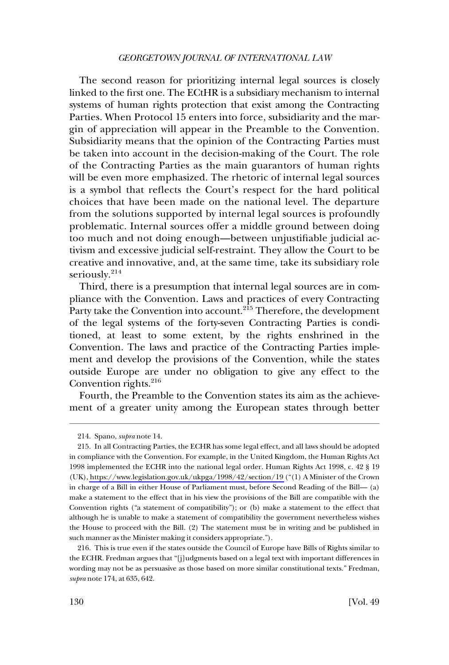The second reason for prioritizing internal legal sources is closely linked to the first one. The ECtHR is a subsidiary mechanism to internal systems of human rights protection that exist among the Contracting Parties. When Protocol 15 enters into force, subsidiarity and the margin of appreciation will appear in the Preamble to the Convention. Subsidiarity means that the opinion of the Contracting Parties must be taken into account in the decision-making of the Court. The role of the Contracting Parties as the main guarantors of human rights will be even more emphasized. The rhetoric of internal legal sources is a symbol that reflects the Court's respect for the hard political choices that have been made on the national level. The departure from the solutions supported by internal legal sources is profoundly problematic. Internal sources offer a middle ground between doing too much and not doing enough—between unjustifiable judicial activism and excessive judicial self-restraint. They allow the Court to be creative and innovative, and, at the same time, take its subsidiary role seriously.<sup>214</sup>

Third, there is a presumption that internal legal sources are in compliance with the Convention. Laws and practices of every Contracting Party take the Convention into account.<sup>215</sup> Therefore, the development of the legal systems of the forty-seven Contracting Parties is conditioned, at least to some extent, by the rights enshrined in the Convention. The laws and practice of the Contracting Parties implement and develop the provisions of the Convention, while the states outside Europe are under no obligation to give any effect to the Convention rights. $216$ 

Fourth, the Preamble to the Convention states its aim as the achievement of a greater unity among the European states through better

<sup>214.</sup> Spano, *supra* note 14.

<sup>215.</sup> In all Contracting Parties, the ECHR has some legal effect, and all laws should be adopted in compliance with the Convention. For example, in the United Kingdom, the Human Rights Act 1998 implemented the ECHR into the national legal order. Human Rights Act 1998, c. 42 § 19 (UK),<https://www.legislation.gov.uk/ukpga/1998/42/section/19>("(1) A Minister of the Crown in charge of a Bill in either House of Parliament must, before Second Reading of the Bill— (a) make a statement to the effect that in his view the provisions of the Bill are compatible with the Convention rights ("a statement of compatibility"); or (b) make a statement to the effect that although he is unable to make a statement of compatibility the government nevertheless wishes the House to proceed with the Bill. (2) The statement must be in writing and be published in such manner as the Minister making it considers appropriate.").

<sup>216.</sup> This is true even if the states outside the Council of Europe have Bills of Rights similar to the ECHR. Fredman argues that "[j]udgments based on a legal text with important differences in wording may not be as persuasive as those based on more similar constitutional texts." Fredman, *supra* note 174, at 635, 642.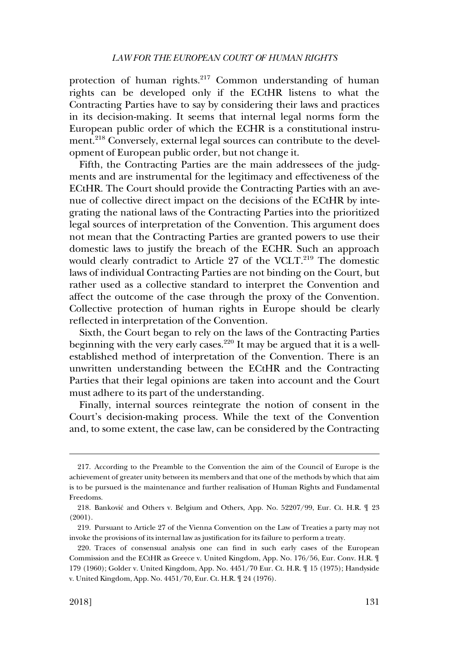protection of human rights.<sup>217</sup> Common understanding of human rights can be developed only if the ECtHR listens to what the Contracting Parties have to say by considering their laws and practices in its decision-making. It seems that internal legal norms form the European public order of which the ECHR is a constitutional instrument.<sup>218</sup> Conversely, external legal sources can contribute to the development of European public order, but not change it.

Fifth, the Contracting Parties are the main addressees of the judgments and are instrumental for the legitimacy and effectiveness of the ECtHR. The Court should provide the Contracting Parties with an avenue of collective direct impact on the decisions of the ECtHR by integrating the national laws of the Contracting Parties into the prioritized legal sources of interpretation of the Convention. This argument does not mean that the Contracting Parties are granted powers to use their domestic laws to justify the breach of the ECHR. Such an approach would clearly contradict to Article 27 of the VCLT.<sup>219</sup> The domestic laws of individual Contracting Parties are not binding on the Court, but rather used as a collective standard to interpret the Convention and affect the outcome of the case through the proxy of the Convention. Collective protection of human rights in Europe should be clearly reflected in interpretation of the Convention.

Sixth, the Court began to rely on the laws of the Contracting Parties beginning with the very early cases.<sup>220</sup> It may be argued that it is a wellestablished method of interpretation of the Convention. There is an unwritten understanding between the ECtHR and the Contracting Parties that their legal opinions are taken into account and the Court must adhere to its part of the understanding.

Finally, internal sources reintegrate the notion of consent in the Court's decision-making process. While the text of the Convention and, to some extent, the case law, can be considered by the Contracting

<sup>217.</sup> According to the Preamble to the Convention the aim of the Council of Europe is the achievement of greater unity between its members and that one of the methods by which that aim is to be pursued is the maintenance and further realisation of Human Rights and Fundamental Freedoms.

<sup>218.</sup> Banković and Others v. Belgium and Others, App. No. 52207/99, Eur. Ct. H.R.  $\mathcal{F}$  23 (2001).

<sup>219.</sup> Pursuant to Article 27 of the Vienna Convention on the Law of Treaties a party may not invoke the provisions of its internal law as justification for its failure to perform a treaty.

<sup>220.</sup> Traces of consensual analysis one can find in such early cases of the European Commission and the ECtHR as Greece v. United Kingdom, App. No. 176/56, Eur. Conv. H.R. ¶ 179 (1960); Golder v. United Kingdom, App. No. 4451/70 Eur. Ct. H.R. ¶ 15 (1975); Handyside v. United Kingdom, App. No. 4451/70, Eur. Ct. H.R. ¶ 24 (1976).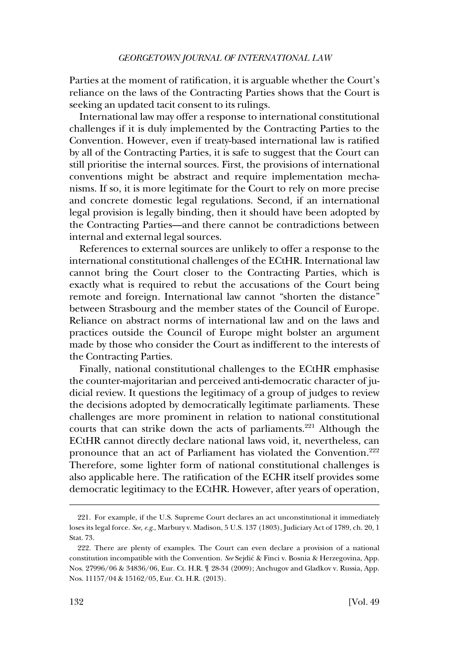Parties at the moment of ratification, it is arguable whether the Court's reliance on the laws of the Contracting Parties shows that the Court is seeking an updated tacit consent to its rulings.

International law may offer a response to international constitutional challenges if it is duly implemented by the Contracting Parties to the Convention. However, even if treaty-based international law is ratified by all of the Contracting Parties, it is safe to suggest that the Court can still prioritise the internal sources. First, the provisions of international conventions might be abstract and require implementation mechanisms. If so, it is more legitimate for the Court to rely on more precise and concrete domestic legal regulations. Second, if an international legal provision is legally binding, then it should have been adopted by the Contracting Parties—and there cannot be contradictions between internal and external legal sources.

References to external sources are unlikely to offer a response to the international constitutional challenges of the ECtHR. International law cannot bring the Court closer to the Contracting Parties, which is exactly what is required to rebut the accusations of the Court being remote and foreign. International law cannot "shorten the distance" between Strasbourg and the member states of the Council of Europe. Reliance on abstract norms of international law and on the laws and practices outside the Council of Europe might bolster an argument made by those who consider the Court as indifferent to the interests of the Contracting Parties.

Finally, national constitutional challenges to the ECtHR emphasise the counter-majoritarian and perceived anti-democratic character of judicial review. It questions the legitimacy of a group of judges to review the decisions adopted by democratically legitimate parliaments. These challenges are more prominent in relation to national constitutional courts that can strike down the acts of parliaments.<sup>221</sup> Although the ECtHR cannot directly declare national laws void, it, nevertheless, can pronounce that an act of Parliament has violated the Convention.<sup>222</sup> Therefore, some lighter form of national constitutional challenges is also applicable here. The ratification of the ECHR itself provides some democratic legitimacy to the ECtHR. However, after years of operation,

<sup>221.</sup> For example, if the U.S. Supreme Court declares an act unconstitutional it immediately loses its legal force. *See, e.g*., Marbury v. Madison, 5 U.S. 137 (1803), Judiciary Act of 1789, ch. 20, 1 Stat. 73.

<sup>222.</sup> There are plenty of examples. The Court can even declare a provision of a national constitution incompatible with the Convention. *See* Sejdic´ & Finci v. Bosnia & Herzegovina, App. Nos. 27996/06 & 34836/06, Eur. Ct. H.R. ¶ 28-34 (2009); Anchugov and Gladkov v. Russia, App. Nos. 11157/04 & 15162/05, Eur. Ct. H.R. (2013).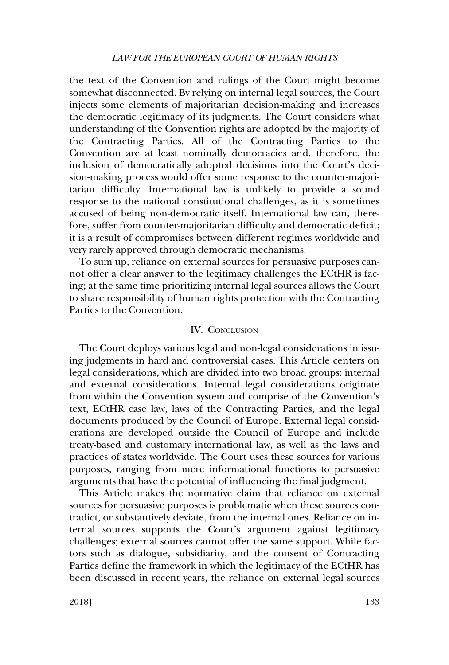# *LAW FOR THE EUROPEAN COURT OF HUMAN RIGHTS*

<span id="page-44-0"></span>the text of the Convention and rulings of the Court might become somewhat disconnected. By relying on internal legal sources, the Court injects some elements of majoritarian decision-making and increases the democratic legitimacy of its judgments. The Court considers what understanding of the Convention rights are adopted by the majority of the Contracting Parties. All of the Contracting Parties to the Convention are at least nominally democracies and, therefore, the inclusion of democratically adopted decisions into the Court's decision-making process would offer some response to the counter-majoritarian difficulty. International law is unlikely to provide a sound response to the national constitutional challenges, as it is sometimes accused of being non-democratic itself. International law can, therefore, suffer from counter-majoritarian difficulty and democratic deficit; it is a result of compromises between different regimes worldwide and very rarely approved through democratic mechanisms.

To sum up, reliance on external sources for persuasive purposes cannot offer a clear answer to the legitimacy challenges the ECtHR is facing; at the same time prioritizing internal legal sources allows the Court to share responsibility of human rights protection with the Contracting Parties to the Convention.

# IV. CONCLUSION

The Court deploys various legal and non-legal considerations in issuing judgments in hard and controversial cases. This Article centers on legal considerations, which are divided into two broad groups: internal and external considerations. Internal legal considerations originate from within the Convention system and comprise of the Convention's text, ECtHR case law, laws of the Contracting Parties, and the legal documents produced by the Council of Europe. External legal considerations are developed outside the Council of Europe and include treaty-based and customary international law, as well as the laws and practices of states worldwide. The Court uses these sources for various purposes, ranging from mere informational functions to persuasive arguments that have the potential of influencing the final judgment.

This Article makes the normative claim that reliance on external sources for persuasive purposes is problematic when these sources contradict, or substantively deviate, from the internal ones. Reliance on internal sources supports the Court's argument against legitimacy challenges; external sources cannot offer the same support. While factors such as dialogue, subsidiarity, and the consent of Contracting Parties define the framework in which the legitimacy of the ECtHR has been discussed in recent years, the reliance on external legal sources